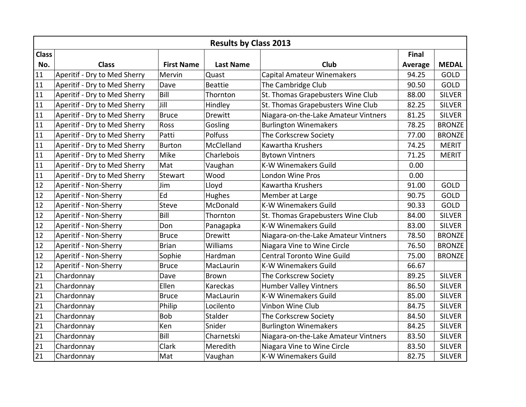|              | <b>Results by Class 2013</b> |                   |                  |                                      |         |               |  |  |  |
|--------------|------------------------------|-------------------|------------------|--------------------------------------|---------|---------------|--|--|--|
| <b>Class</b> |                              |                   |                  |                                      | Final   |               |  |  |  |
| No.          | <b>Class</b>                 | <b>First Name</b> | <b>Last Name</b> | Club                                 | Average | <b>MEDAL</b>  |  |  |  |
| 11           | Aperitif - Dry to Med Sherry | Mervin            | Quast            | <b>Capital Amateur Winemakers</b>    | 94.25   | <b>GOLD</b>   |  |  |  |
| 11           | Aperitif - Dry to Med Sherry | Dave              | <b>Beattie</b>   | The Cambridge Club                   | 90.50   | GOLD          |  |  |  |
| 11           | Aperitif - Dry to Med Sherry | Bill              | Thornton         | St. Thomas Grapebusters Wine Club    | 88.00   | <b>SILVER</b> |  |  |  |
| 11           | Aperitif - Dry to Med Sherry | Jill              | Hindley          | St. Thomas Grapebusters Wine Club    | 82.25   | <b>SILVER</b> |  |  |  |
| 11           | Aperitif - Dry to Med Sherry | <b>Bruce</b>      | <b>Drewitt</b>   | Niagara-on-the-Lake Amateur Vintners | 81.25   | <b>SILVER</b> |  |  |  |
| 11           | Aperitif - Dry to Med Sherry | Ross              | Gosling          | <b>Burlington Winemakers</b>         | 78.25   | <b>BRONZE</b> |  |  |  |
| 11           | Aperitif - Dry to Med Sherry | Patti             | Polfuss          | The Corkscrew Society                | 77.00   | <b>BRONZE</b> |  |  |  |
| 11           | Aperitif - Dry to Med Sherry | Burton            | McClelland       | Kawartha Krushers                    | 74.25   | <b>MERIT</b>  |  |  |  |
| 11           | Aperitif - Dry to Med Sherry | Mike              | Charlebois       | <b>Bytown Vintners</b>               | 71.25   | <b>MERIT</b>  |  |  |  |
| 11           | Aperitif - Dry to Med Sherry | Mat               | Vaughan          | <b>K-W Winemakers Guild</b>          | 0.00    |               |  |  |  |
| 11           | Aperitif - Dry to Med Sherry | Stewart           | Wood             | <b>London Wine Pros</b>              | 0.00    |               |  |  |  |
| 12           | Aperitif - Non-Sherry        | Jim               | Lloyd            | Kawartha Krushers                    | 91.00   | GOLD          |  |  |  |
| 12           | Aperitif - Non-Sherry        | Ed                | Hughes           | Member at Large                      | 90.75   | GOLD          |  |  |  |
| 12           | Aperitif - Non-Sherry        | <b>Steve</b>      | McDonald         | <b>K-W Winemakers Guild</b>          | 90.33   | GOLD          |  |  |  |
| 12           | Aperitif - Non-Sherry        | Bill              | Thornton         | St. Thomas Grapebusters Wine Club    | 84.00   | <b>SILVER</b> |  |  |  |
| 12           | Aperitif - Non-Sherry        | Don               | Panagapka        | <b>K-W Winemakers Guild</b>          | 83.00   | <b>SILVER</b> |  |  |  |
| 12           | Aperitif - Non-Sherry        | <b>Bruce</b>      | <b>Drewitt</b>   | Niagara-on-the-Lake Amateur Vintners | 78.50   | <b>BRONZE</b> |  |  |  |
| 12           | Aperitif - Non-Sherry        | <b>Brian</b>      | Williams         | Niagara Vine to Wine Circle          | 76.50   | <b>BRONZE</b> |  |  |  |
| 12           | Aperitif - Non-Sherry        | Sophie            | Hardman          | <b>Central Toronto Wine Guild</b>    | 75.00   | <b>BRONZE</b> |  |  |  |
| 12           | Aperitif - Non-Sherry        | <b>Bruce</b>      | MacLaurin        | <b>K-W Winemakers Guild</b>          | 66.67   |               |  |  |  |
| 21           | Chardonnay                   | Dave              | <b>Brown</b>     | The Corkscrew Society                | 89.25   | <b>SILVER</b> |  |  |  |
| 21           | Chardonnay                   | Ellen             | Kareckas         | <b>Humber Valley Vintners</b>        | 86.50   | <b>SILVER</b> |  |  |  |
| 21           | Chardonnay                   | <b>Bruce</b>      | MacLaurin        | <b>K-W Winemakers Guild</b>          | 85.00   | <b>SILVER</b> |  |  |  |
| 21           | Chardonnay                   | Philip            | Locilento        | Vinbon Wine Club                     | 84.75   | <b>SILVER</b> |  |  |  |
| 21           | Chardonnay                   | Bob               | Stalder          | The Corkscrew Society                | 84.50   | <b>SILVER</b> |  |  |  |
| 21           | Chardonnay                   | Ken               | Snider           | <b>Burlington Winemakers</b>         | 84.25   | <b>SILVER</b> |  |  |  |
| 21           | Chardonnay                   | Bill              | Charnetski       | Niagara-on-the-Lake Amateur Vintners | 83.50   | <b>SILVER</b> |  |  |  |
| 21           | Chardonnay                   | Clark             | Meredith         | Niagara Vine to Wine Circle          | 83.50   | <b>SILVER</b> |  |  |  |
| 21           | Chardonnay                   | Mat               | Vaughan          | <b>K-W Winemakers Guild</b>          | 82.75   | <b>SILVER</b> |  |  |  |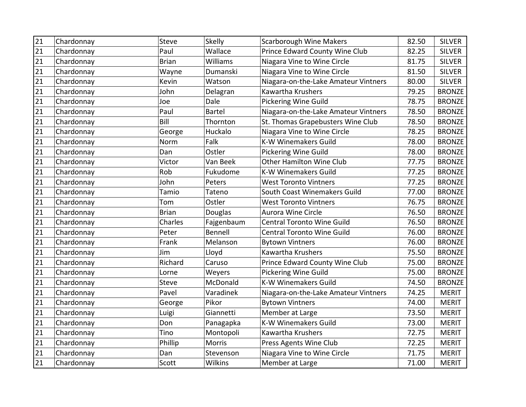| $\overline{21}$ | Chardonnay | <b>Steve</b> | Skelly         | <b>Scarborough Wine Makers</b>       | 82.50 | <b>SILVER</b> |
|-----------------|------------|--------------|----------------|--------------------------------------|-------|---------------|
| 21              | Chardonnay | Paul         | Wallace        | Prince Edward County Wine Club       | 82.25 | <b>SILVER</b> |
| 21              | Chardonnay | <b>Brian</b> | Williams       | Niagara Vine to Wine Circle          | 81.75 | <b>SILVER</b> |
| 21              | Chardonnay | Wayne        | Dumanski       | Niagara Vine to Wine Circle          | 81.50 | <b>SILVER</b> |
| 21              | Chardonnay | Kevin        | Watson         | Niagara-on-the-Lake Amateur Vintners | 80.00 | <b>SILVER</b> |
| 21              | Chardonnay | John         | Delagran       | Kawartha Krushers                    | 79.25 | <b>BRONZE</b> |
| 21              | Chardonnay | Joe          | Dale           | <b>Pickering Wine Guild</b>          | 78.75 | <b>BRONZE</b> |
| 21              | Chardonnay | Paul         | <b>Bartel</b>  | Niagara-on-the-Lake Amateur Vintners | 78.50 | <b>BRONZE</b> |
| 21              | Chardonnay | Bill         | Thornton       | St. Thomas Grapebusters Wine Club    | 78.50 | <b>BRONZE</b> |
| 21              | Chardonnay | George       | Huckalo        | Niagara Vine to Wine Circle          | 78.25 | <b>BRONZE</b> |
| 21              | Chardonnay | Norm         | Falk           | <b>K-W Winemakers Guild</b>          | 78.00 | <b>BRONZE</b> |
| 21              | Chardonnay | Dan          | Ostler         | <b>Pickering Wine Guild</b>          | 78.00 | <b>BRONZE</b> |
| 21              | Chardonnay | Victor       | Van Beek       | Other Hamilton Wine Club             | 77.75 | <b>BRONZE</b> |
| 21              | Chardonnay | Rob          | Fukudome       | <b>K-W Winemakers Guild</b>          | 77.25 | <b>BRONZE</b> |
| 21              | Chardonnay | John         | Peters         | <b>West Toronto Vintners</b>         | 77.25 | <b>BRONZE</b> |
| 21              | Chardonnay | Tamio        | Tateno         | South Coast Winemakers Guild         | 77.00 | <b>BRONZE</b> |
| 21              | Chardonnay | Tom          | Ostler         | <b>West Toronto Vintners</b>         | 76.75 | <b>BRONZE</b> |
| 21              | Chardonnay | <b>Brian</b> | Douglas        | Aurora Wine Circle                   | 76.50 | <b>BRONZE</b> |
| 21              | Chardonnay | Charles      | Fajgenbaum     | <b>Central Toronto Wine Guild</b>    | 76.50 | <b>BRONZE</b> |
| 21              | Chardonnay | Peter        | <b>Bennell</b> | <b>Central Toronto Wine Guild</b>    | 76.00 | <b>BRONZE</b> |
| 21              | Chardonnay | Frank        | Melanson       | <b>Bytown Vintners</b>               | 76.00 | <b>BRONZE</b> |
| 21              | Chardonnay | Jim          | Lloyd          | Kawartha Krushers                    | 75.50 | <b>BRONZE</b> |
| 21              | Chardonnay | Richard      | Caruso         | Prince Edward County Wine Club       | 75.00 | <b>BRONZE</b> |
| 21              | Chardonnay | Lorne        | Weyers         | Pickering Wine Guild                 | 75.00 | <b>BRONZE</b> |
| 21              | Chardonnay | <b>Steve</b> | McDonald       | <b>K-W Winemakers Guild</b>          | 74.50 | <b>BRONZE</b> |
| 21              | Chardonnay | Pavel        | Varadinek      | Niagara-on-the-Lake Amateur Vintners | 74.25 | <b>MERIT</b>  |
| 21              | Chardonnay | George       | Pikor          | <b>Bytown Vintners</b>               | 74.00 | <b>MERIT</b>  |
| 21              | Chardonnay | Luigi        | Giannetti      | Member at Large                      | 73.50 | <b>MERIT</b>  |
| 21              | Chardonnay | Don          | Panagapka      | <b>K-W Winemakers Guild</b>          | 73.00 | <b>MERIT</b>  |
| 21              | Chardonnay | Tino         | Montopoli      | Kawartha Krushers                    | 72.75 | <b>MERIT</b>  |
| 21              | Chardonnay | Phillip      | <b>Morris</b>  | Press Agents Wine Club               | 72.25 | <b>MERIT</b>  |
| 21              | Chardonnay | Dan          | Stevenson      | Niagara Vine to Wine Circle          | 71.75 | <b>MERIT</b>  |
| 21              | Chardonnay | Scott        | Wilkins        | Member at Large                      | 71.00 | <b>MERIT</b>  |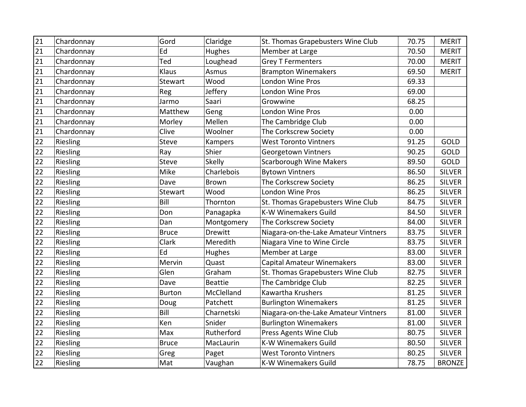| 21 | Chardonnay | Gord          | Claridge       | St. Thomas Grapebusters Wine Club    | 70.75 | <b>MERIT</b>  |
|----|------------|---------------|----------------|--------------------------------------|-------|---------------|
| 21 | Chardonnay | Ed            | Hughes         | Member at Large                      | 70.50 | <b>MERIT</b>  |
| 21 | Chardonnay | Ted           | Loughead       | <b>Grey T Fermenters</b>             | 70.00 | <b>MERIT</b>  |
| 21 | Chardonnay | Klaus         | Asmus          | <b>Brampton Winemakers</b>           | 69.50 | <b>MERIT</b>  |
| 21 | Chardonnay | Stewart       | Wood           | London Wine Pros                     | 69.33 |               |
| 21 | Chardonnay | Reg           | Jeffery        | London Wine Pros                     | 69.00 |               |
| 21 | Chardonnay | Jarmo         | Saari          | Growwine                             | 68.25 |               |
| 21 | Chardonnay | Matthew       | Geng           | London Wine Pros                     | 0.00  |               |
| 21 | Chardonnay | Morley        | Mellen         | The Cambridge Club                   | 0.00  |               |
| 21 | Chardonnay | Clive         | Woolner        | The Corkscrew Society                | 0.00  |               |
| 22 | Riesling   | Steve         | Kampers        | <b>West Toronto Vintners</b>         | 91.25 | <b>GOLD</b>   |
| 22 | Riesling   | Ray           | Shier          | Georgetown Vintners                  | 90.25 | <b>GOLD</b>   |
| 22 | Riesling   | <b>Steve</b>  | <b>Skelly</b>  | <b>Scarborough Wine Makers</b>       | 89.50 | <b>GOLD</b>   |
| 22 | Riesling   | Mike          | Charlebois     | <b>Bytown Vintners</b>               | 86.50 | <b>SILVER</b> |
| 22 | Riesling   | Dave          | Brown          | The Corkscrew Society                | 86.25 | <b>SILVER</b> |
| 22 | Riesling   | Stewart       | Wood           | London Wine Pros                     | 86.25 | <b>SILVER</b> |
| 22 | Riesling   | Bill          | Thornton       | St. Thomas Grapebusters Wine Club    | 84.75 | <b>SILVER</b> |
| 22 | Riesling   | Don           | Panagapka      | K-W Winemakers Guild                 | 84.50 | <b>SILVER</b> |
| 22 | Riesling   | Dan           | Montgomery     | The Corkscrew Society                | 84.00 | <b>SILVER</b> |
| 22 | Riesling   | <b>Bruce</b>  | Drewitt        | Niagara-on-the-Lake Amateur Vintners | 83.75 | <b>SILVER</b> |
| 22 | Riesling   | Clark         | Meredith       | Niagara Vine to Wine Circle          | 83.75 | <b>SILVER</b> |
| 22 | Riesling   | Ed            | Hughes         | Member at Large                      | 83.00 | <b>SILVER</b> |
| 22 | Riesling   | Mervin        | Quast          | <b>Capital Amateur Winemakers</b>    | 83.00 | <b>SILVER</b> |
| 22 | Riesling   | Glen          | Graham         | St. Thomas Grapebusters Wine Club    | 82.75 | <b>SILVER</b> |
| 22 | Riesling   | Dave          | <b>Beattie</b> | The Cambridge Club                   | 82.25 | <b>SILVER</b> |
| 22 | Riesling   | <b>Burton</b> | McClelland     | Kawartha Krushers                    | 81.25 | <b>SILVER</b> |
| 22 | Riesling   | Doug          | Patchett       | <b>Burlington Winemakers</b>         | 81.25 | <b>SILVER</b> |
| 22 | Riesling   | Bill          | Charnetski     | Niagara-on-the-Lake Amateur Vintners | 81.00 | <b>SILVER</b> |
| 22 | Riesling   | Ken           | Snider         | <b>Burlington Winemakers</b>         | 81.00 | <b>SILVER</b> |
| 22 | Riesling   | Max           | Rutherford     | Press Agents Wine Club               | 80.75 | <b>SILVER</b> |
| 22 | Riesling   | <b>Bruce</b>  | MacLaurin      | <b>K-W Winemakers Guild</b>          | 80.50 | <b>SILVER</b> |
| 22 | Riesling   | Greg          | Paget          | <b>West Toronto Vintners</b>         | 80.25 | <b>SILVER</b> |
| 22 | Riesling   | Mat           | Vaughan        | K-W Winemakers Guild                 | 78.75 | <b>BRONZE</b> |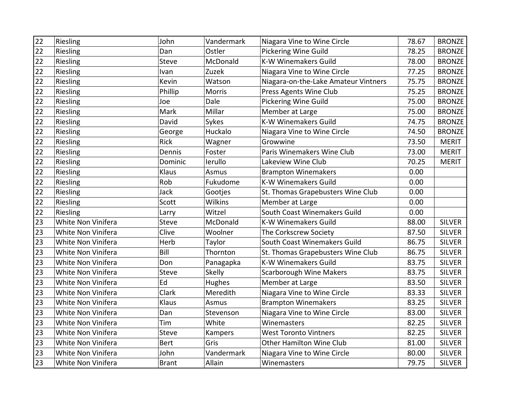| 22 | Riesling           | John         | Vandermark     | Niagara Vine to Wine Circle          | 78.67 | <b>BRONZE</b> |
|----|--------------------|--------------|----------------|--------------------------------------|-------|---------------|
| 22 | Riesling           | Dan          | Ostler         | <b>Pickering Wine Guild</b>          | 78.25 | <b>BRONZE</b> |
| 22 | Riesling           | Steve        | McDonald       | <b>K-W Winemakers Guild</b>          | 78.00 | <b>BRONZE</b> |
| 22 | Riesling           | Ivan         | Zuzek          | Niagara Vine to Wine Circle          | 77.25 | <b>BRONZE</b> |
| 22 | Riesling           | Kevin        | Watson         | Niagara-on-the-Lake Amateur Vintners | 75.75 | <b>BRONZE</b> |
| 22 | Riesling           | Phillip      | <b>Morris</b>  | Press Agents Wine Club               | 75.25 | <b>BRONZE</b> |
| 22 | Riesling           | Joe          | Dale           | <b>Pickering Wine Guild</b>          | 75.00 | <b>BRONZE</b> |
| 22 | Riesling           | Mark         | Millar         | Member at Large                      | 75.00 | <b>BRONZE</b> |
| 22 | Riesling           | David        | Sykes          | <b>K-W Winemakers Guild</b>          | 74.75 | <b>BRONZE</b> |
| 22 | Riesling           | George       | Huckalo        | Niagara Vine to Wine Circle          | 74.50 | <b>BRONZE</b> |
| 22 | Riesling           | <b>Rick</b>  | Wagner         | Growwine                             | 73.50 | <b>MERIT</b>  |
| 22 | Riesling           | Dennis       | Foster         | Paris Winemakers Wine Club           | 73.00 | <b>MERIT</b>  |
| 22 | Riesling           | Dominic      | lerullo        | Lakeview Wine Club                   | 70.25 | <b>MERIT</b>  |
| 22 | Riesling           | Klaus        | Asmus          | <b>Brampton Winemakers</b>           | 0.00  |               |
| 22 | Riesling           | Rob          | Fukudome       | <b>K-W Winemakers Guild</b>          | 0.00  |               |
| 22 | Riesling           | Jack         | Gootjes        | St. Thomas Grapebusters Wine Club    | 0.00  |               |
| 22 | Riesling           | Scott        | <b>Wilkins</b> | Member at Large                      | 0.00  |               |
| 22 | Riesling           | Larry        | Witzel         | South Coast Winemakers Guild         | 0.00  |               |
| 23 | White Non Vinifera | Steve        | McDonald       | <b>K-W Winemakers Guild</b>          | 88.00 | <b>SILVER</b> |
| 23 | White Non Vinifera | Clive        | Woolner        | The Corkscrew Society                | 87.50 | <b>SILVER</b> |
| 23 | White Non Vinifera | Herb         | Taylor         | South Coast Winemakers Guild         | 86.75 | <b>SILVER</b> |
| 23 | White Non Vinifera | Bill         | Thornton       | St. Thomas Grapebusters Wine Club    | 86.75 | <b>SILVER</b> |
| 23 | White Non Vinifera | Don          | Panagapka      | <b>K-W Winemakers Guild</b>          | 83.75 | <b>SILVER</b> |
| 23 | White Non Vinifera | Steve        | <b>Skelly</b>  | Scarborough Wine Makers              | 83.75 | <b>SILVER</b> |
| 23 | White Non Vinifera | Ed           | Hughes         | Member at Large                      | 83.50 | <b>SILVER</b> |
| 23 | White Non Vinifera | Clark        | Meredith       | Niagara Vine to Wine Circle          | 83.33 | <b>SILVER</b> |
| 23 | White Non Vinifera | Klaus        | Asmus          | <b>Brampton Winemakers</b>           | 83.25 | <b>SILVER</b> |
| 23 | White Non Vinifera | Dan          | Stevenson      | Niagara Vine to Wine Circle          | 83.00 | <b>SILVER</b> |
| 23 | White Non Vinifera | Tim          | White          | Winemasters                          | 82.25 | <b>SILVER</b> |
| 23 | White Non Vinifera | Steve        | Kampers        | <b>West Toronto Vintners</b>         | 82.25 | <b>SILVER</b> |
| 23 | White Non Vinifera | <b>Bert</b>  | Gris           | Other Hamilton Wine Club             | 81.00 | <b>SILVER</b> |
| 23 | White Non Vinifera | John         | Vandermark     | Niagara Vine to Wine Circle          | 80.00 | <b>SILVER</b> |
| 23 | White Non Vinifera | <b>Brant</b> | Allain         | Winemasters                          | 79.75 | <b>SILVER</b> |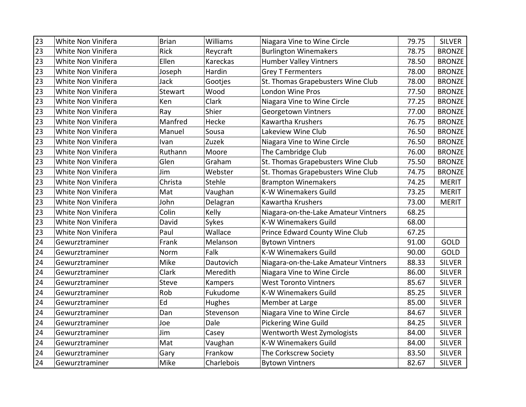| $\overline{23}$ | White Non Vinifera | <b>Brian</b> | Williams      | Niagara Vine to Wine Circle          | 79.75 | <b>SILVER</b> |
|-----------------|--------------------|--------------|---------------|--------------------------------------|-------|---------------|
| 23              | White Non Vinifera | <b>Rick</b>  | Reycraft      | <b>Burlington Winemakers</b>         | 78.75 | <b>BRONZE</b> |
| 23              | White Non Vinifera | Ellen        | Kareckas      | <b>Humber Valley Vintners</b>        | 78.50 | <b>BRONZE</b> |
| 23              | White Non Vinifera | Joseph       | Hardin        | <b>Grey T Fermenters</b>             | 78.00 | <b>BRONZE</b> |
| 23              | White Non Vinifera | Jack         | Gootjes       | St. Thomas Grapebusters Wine Club    | 78.00 | <b>BRONZE</b> |
| 23              | White Non Vinifera | Stewart      | Wood          | <b>London Wine Pros</b>              | 77.50 | <b>BRONZE</b> |
| 23              | White Non Vinifera | Ken          | Clark         | Niagara Vine to Wine Circle          | 77.25 | <b>BRONZE</b> |
| 23              | White Non Vinifera | Ray          | Shier         | Georgetown Vintners                  | 77.00 | <b>BRONZE</b> |
| 23              | White Non Vinifera | Manfred      | Hecke         | Kawartha Krushers                    | 76.75 | <b>BRONZE</b> |
| 23              | White Non Vinifera | Manuel       | Sousa         | Lakeview Wine Club                   | 76.50 | <b>BRONZE</b> |
| 23              | White Non Vinifera | Ivan         | Zuzek         | Niagara Vine to Wine Circle          | 76.50 | <b>BRONZE</b> |
| 23              | White Non Vinifera | Ruthann      | Moore         | The Cambridge Club                   | 76.00 | <b>BRONZE</b> |
| 23              | White Non Vinifera | Glen         | Graham        | St. Thomas Grapebusters Wine Club    | 75.50 | <b>BRONZE</b> |
| 23              | White Non Vinifera | Jim          | Webster       | St. Thomas Grapebusters Wine Club    | 74.75 | <b>BRONZE</b> |
| 23              | White Non Vinifera | Christa      | Stehle        | <b>Brampton Winemakers</b>           | 74.25 | <b>MERIT</b>  |
| 23              | White Non Vinifera | Mat          | Vaughan       | <b>K-W Winemakers Guild</b>          | 73.25 | <b>MERIT</b>  |
| 23              | White Non Vinifera | John         | Delagran      | Kawartha Krushers                    | 73.00 | <b>MERIT</b>  |
| 23              | White Non Vinifera | Colin        | Kelly         | Niagara-on-the-Lake Amateur Vintners | 68.25 |               |
| 23              | White Non Vinifera | David        | Sykes         | <b>K-W Winemakers Guild</b>          | 68.00 |               |
| 23              | White Non Vinifera | Paul         | Wallace       | Prince Edward County Wine Club       | 67.25 |               |
| 24              | Gewurztraminer     | Frank        | Melanson      | <b>Bytown Vintners</b>               | 91.00 | GOLD          |
| 24              | Gewurztraminer     | Norm         | Falk          | <b>K-W Winemakers Guild</b>          | 90.00 | <b>GOLD</b>   |
| 24              | Gewurztraminer     | Mike         | Dautovich     | Niagara-on-the-Lake Amateur Vintners | 88.33 | <b>SILVER</b> |
| 24              | Gewurztraminer     | Clark        | Meredith      | Niagara Vine to Wine Circle          | 86.00 | <b>SILVER</b> |
| 24              | Gewurztraminer     | <b>Steve</b> | Kampers       | <b>West Toronto Vintners</b>         | 85.67 | <b>SILVER</b> |
| 24              | Gewurztraminer     | Rob          | Fukudome      | <b>K-W Winemakers Guild</b>          | 85.25 | <b>SILVER</b> |
| 24              | Gewurztraminer     | Ed           | <b>Hughes</b> | Member at Large                      | 85.00 | <b>SILVER</b> |
| 24              | Gewurztraminer     | Dan          | Stevenson     | Niagara Vine to Wine Circle          | 84.67 | <b>SILVER</b> |
| 24              | Gewurztraminer     | Joe          | Dale          | Pickering Wine Guild                 | 84.25 | <b>SILVER</b> |
| 24              | Gewurztraminer     | Jim          | Casey         | Wentworth West Zymologists           | 84.00 | <b>SILVER</b> |
| 24              | Gewurztraminer     | Mat          | Vaughan       | <b>K-W Winemakers Guild</b>          | 84.00 | <b>SILVER</b> |
| 24              | Gewurztraminer     | Gary         | Frankow       | The Corkscrew Society                | 83.50 | <b>SILVER</b> |
| 24              | Gewurztraminer     | Mike         | Charlebois    | <b>Bytown Vintners</b>               | 82.67 | <b>SILVER</b> |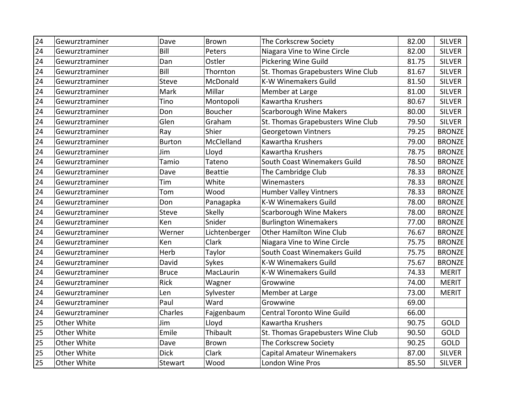| $\overline{24}$ | Gewurztraminer | Dave          | Brown          | The Corkscrew Society             | 82.00 | <b>SILVER</b> |
|-----------------|----------------|---------------|----------------|-----------------------------------|-------|---------------|
| 24              | Gewurztraminer | Bill          | Peters         | Niagara Vine to Wine Circle       | 82.00 | <b>SILVER</b> |
| 24              | Gewurztraminer | Dan           | Ostler         | Pickering Wine Guild              | 81.75 | <b>SILVER</b> |
| 24              | Gewurztraminer | Bill          | Thornton       | St. Thomas Grapebusters Wine Club | 81.67 | <b>SILVER</b> |
| 24              | Gewurztraminer | Steve         | McDonald       | <b>K-W Winemakers Guild</b>       | 81.50 | <b>SILVER</b> |
| 24              | Gewurztraminer | Mark          | Millar         | Member at Large                   | 81.00 | <b>SILVER</b> |
| 24              | Gewurztraminer | Tino          | Montopoli      | Kawartha Krushers                 | 80.67 | <b>SILVER</b> |
| 24              | Gewurztraminer | Don           | Boucher        | <b>Scarborough Wine Makers</b>    | 80.00 | <b>SILVER</b> |
| 24              | Gewurztraminer | Glen          | Graham         | St. Thomas Grapebusters Wine Club | 79.50 | <b>SILVER</b> |
| 24              | Gewurztraminer | Ray           | Shier          | Georgetown Vintners               | 79.25 | <b>BRONZE</b> |
| 24              | Gewurztraminer | <b>Burton</b> | McClelland     | Kawartha Krushers                 | 79.00 | <b>BRONZE</b> |
| 24              | Gewurztraminer | Jim           | Lloyd          | Kawartha Krushers                 | 78.75 | <b>BRONZE</b> |
| 24              | Gewurztraminer | Tamio         | Tateno         | South Coast Winemakers Guild      | 78.50 | <b>BRONZE</b> |
| 24              | Gewurztraminer | Dave          | <b>Beattie</b> | The Cambridge Club                | 78.33 | <b>BRONZE</b> |
| 24              | Gewurztraminer | Tim           | White          | Winemasters                       | 78.33 | <b>BRONZE</b> |
| 24              | Gewurztraminer | Tom           | Wood           | <b>Humber Valley Vintners</b>     | 78.33 | <b>BRONZE</b> |
| 24              | Gewurztraminer | Don           | Panagapka      | <b>K-W Winemakers Guild</b>       | 78.00 | <b>BRONZE</b> |
| 24              | Gewurztraminer | <b>Steve</b>  | Skelly         | <b>Scarborough Wine Makers</b>    | 78.00 | <b>BRONZE</b> |
| 24              | Gewurztraminer | Ken           | Snider         | <b>Burlington Winemakers</b>      | 77.00 | <b>BRONZE</b> |
| 24              | Gewurztraminer | Werner        | Lichtenberger  | Other Hamilton Wine Club          | 76.67 | <b>BRONZE</b> |
| 24              | Gewurztraminer | Ken           | Clark          | Niagara Vine to Wine Circle       | 75.75 | <b>BRONZE</b> |
| 24              | Gewurztraminer | Herb          | Taylor         | South Coast Winemakers Guild      | 75.75 | <b>BRONZE</b> |
| 24              | Gewurztraminer | David         | Sykes          | <b>K-W Winemakers Guild</b>       | 75.67 | <b>BRONZE</b> |
| 24              | Gewurztraminer | <b>Bruce</b>  | MacLaurin      | <b>K-W Winemakers Guild</b>       | 74.33 | <b>MERIT</b>  |
| 24              | Gewurztraminer | <b>Rick</b>   | Wagner         | Growwine                          | 74.00 | <b>MERIT</b>  |
| 24              | Gewurztraminer | Len           | Sylvester      | Member at Large                   | 73.00 | <b>MERIT</b>  |
| 24              | Gewurztraminer | Paul          | Ward           | Growwine                          | 69.00 |               |
| 24              | Gewurztraminer | Charles       | Fajgenbaum     | Central Toronto Wine Guild        | 66.00 |               |
| 25              | Other White    | Jim           | Lloyd          | Kawartha Krushers                 | 90.75 | GOLD          |
| 25              | Other White    | Emile         | Thibault       | St. Thomas Grapebusters Wine Club | 90.50 | <b>GOLD</b>   |
| 25              | Other White    | Dave          | <b>Brown</b>   | The Corkscrew Society             | 90.25 | GOLD          |
| 25              | Other White    | <b>Dick</b>   | Clark          | Capital Amateur Winemakers        | 87.00 | <b>SILVER</b> |
| 25              | Other White    | Stewart       | Wood           | London Wine Pros                  | 85.50 | <b>SILVER</b> |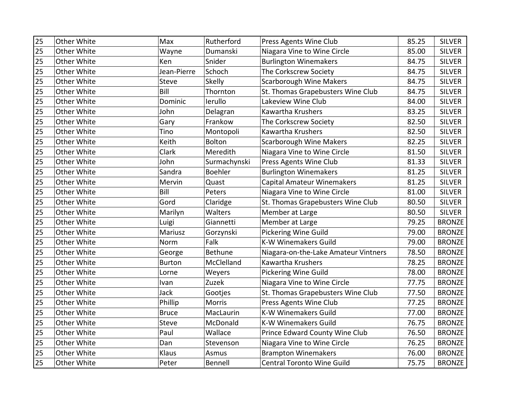| 25 | Other White | Max           | Rutherford     | Press Agents Wine Club               | 85.25 | <b>SILVER</b> |
|----|-------------|---------------|----------------|--------------------------------------|-------|---------------|
| 25 | Other White | Wayne         | Dumanski       | Niagara Vine to Wine Circle          | 85.00 | <b>SILVER</b> |
| 25 | Other White | Ken           | Snider         | <b>Burlington Winemakers</b>         | 84.75 | <b>SILVER</b> |
| 25 | Other White | Jean-Pierre   | Schoch         | The Corkscrew Society                | 84.75 | <b>SILVER</b> |
| 25 | Other White | <b>Steve</b>  | Skelly         | <b>Scarborough Wine Makers</b>       | 84.75 | <b>SILVER</b> |
| 25 | Other White | Bill          | Thornton       | St. Thomas Grapebusters Wine Club    | 84.75 | <b>SILVER</b> |
| 25 | Other White | Dominic       | lerullo        | Lakeview Wine Club                   | 84.00 | <b>SILVER</b> |
| 25 | Other White | John          | Delagran       | Kawartha Krushers                    | 83.25 | <b>SILVER</b> |
| 25 | Other White | Gary          | Frankow        | The Corkscrew Society                | 82.50 | <b>SILVER</b> |
| 25 | Other White | Tino          | Montopoli      | Kawartha Krushers                    | 82.50 | <b>SILVER</b> |
| 25 | Other White | Keith         | Bolton         | <b>Scarborough Wine Makers</b>       | 82.25 | <b>SILVER</b> |
| 25 | Other White | Clark         | Meredith       | Niagara Vine to Wine Circle          | 81.50 | <b>SILVER</b> |
| 25 | Other White | John          | Surmachynski   | Press Agents Wine Club               | 81.33 | <b>SILVER</b> |
| 25 | Other White | Sandra        | <b>Boehler</b> | <b>Burlington Winemakers</b>         | 81.25 | <b>SILVER</b> |
| 25 | Other White | Mervin        | Quast          | <b>Capital Amateur Winemakers</b>    | 81.25 | <b>SILVER</b> |
| 25 | Other White | Bill          | Peters         | Niagara Vine to Wine Circle          | 81.00 | <b>SILVER</b> |
| 25 | Other White | Gord          | Claridge       | St. Thomas Grapebusters Wine Club    | 80.50 | <b>SILVER</b> |
| 25 | Other White | Marilyn       | Walters        | Member at Large                      | 80.50 | <b>SILVER</b> |
| 25 | Other White | Luigi         | Giannetti      | Member at Large                      | 79.25 | <b>BRONZE</b> |
| 25 | Other White | Mariusz       | Gorzynski      | <b>Pickering Wine Guild</b>          | 79.00 | <b>BRONZE</b> |
| 25 | Other White | Norm          | Falk           | <b>K-W Winemakers Guild</b>          | 79.00 | <b>BRONZE</b> |
| 25 | Other White | George        | <b>Bethune</b> | Niagara-on-the-Lake Amateur Vintners | 78.50 | <b>BRONZE</b> |
| 25 | Other White | <b>Burton</b> | McClelland     | Kawartha Krushers                    | 78.25 | <b>BRONZE</b> |
| 25 | Other White | Lorne         | Weyers         | Pickering Wine Guild                 | 78.00 | <b>BRONZE</b> |
| 25 | Other White | Ivan          | Zuzek          | Niagara Vine to Wine Circle          | 77.75 | <b>BRONZE</b> |
| 25 | Other White | Jack          | Gootjes        | St. Thomas Grapebusters Wine Club    | 77.50 | <b>BRONZE</b> |
| 25 | Other White | Phillip       | Morris         | Press Agents Wine Club               | 77.25 | <b>BRONZE</b> |
| 25 | Other White | <b>Bruce</b>  | MacLaurin      | <b>K-W Winemakers Guild</b>          | 77.00 | <b>BRONZE</b> |
| 25 | Other White | <b>Steve</b>  | McDonald       | <b>K-W Winemakers Guild</b>          | 76.75 | <b>BRONZE</b> |
| 25 | Other White | Paul          | Wallace        | Prince Edward County Wine Club       | 76.50 | <b>BRONZE</b> |
| 25 | Other White | Dan           | Stevenson      | Niagara Vine to Wine Circle          | 76.25 | <b>BRONZE</b> |
| 25 | Other White | Klaus         | Asmus          | <b>Brampton Winemakers</b>           | 76.00 | <b>BRONZE</b> |
| 25 | Other White | Peter         | Bennell        | <b>Central Toronto Wine Guild</b>    | 75.75 | <b>BRONZE</b> |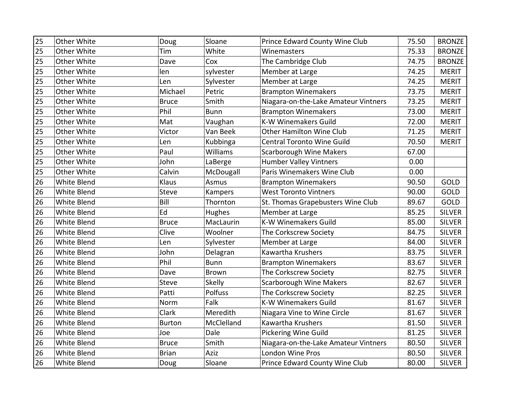| 25 | Other White        | Doug          | Sloane        | Prince Edward County Wine Club       | 75.50 | <b>BRONZE</b> |
|----|--------------------|---------------|---------------|--------------------------------------|-------|---------------|
| 25 | Other White        | Tim           | White         | Winemasters                          | 75.33 | <b>BRONZE</b> |
| 25 | Other White        | Dave          | Cox           | The Cambridge Club                   | 74.75 | <b>BRONZE</b> |
| 25 | Other White        | len           | sylvester     | Member at Large                      | 74.25 | <b>MERIT</b>  |
| 25 | Other White        | Len           | Sylvester     | Member at Large                      | 74.25 | <b>MERIT</b>  |
| 25 | Other White        | Michael       | Petric        | <b>Brampton Winemakers</b>           | 73.75 | <b>MERIT</b>  |
| 25 | Other White        | <b>Bruce</b>  | Smith         | Niagara-on-the-Lake Amateur Vintners | 73.25 | <b>MERIT</b>  |
| 25 | Other White        | Phil          | <b>Bunn</b>   | <b>Brampton Winemakers</b>           | 73.00 | <b>MERIT</b>  |
| 25 | Other White        | Mat           | Vaughan       | <b>K-W Winemakers Guild</b>          | 72.00 | <b>MERIT</b>  |
| 25 | Other White        | Victor        | Van Beek      | Other Hamilton Wine Club             | 71.25 | <b>MERIT</b>  |
| 25 | Other White        | Len           | Kubbinga      | <b>Central Toronto Wine Guild</b>    | 70.50 | <b>MERIT</b>  |
| 25 | Other White        | Paul          | Williams      | <b>Scarborough Wine Makers</b>       | 67.00 |               |
| 25 | Other White        | John          | LaBerge       | <b>Humber Valley Vintners</b>        | 0.00  |               |
| 25 | Other White        | Calvin        | McDougall     | Paris Winemakers Wine Club           | 0.00  |               |
| 26 | <b>White Blend</b> | Klaus         | Asmus         | <b>Brampton Winemakers</b>           | 90.50 | <b>GOLD</b>   |
| 26 | White Blend        | <b>Steve</b>  | Kampers       | <b>West Toronto Vintners</b>         | 90.00 | <b>GOLD</b>   |
| 26 | White Blend        | Bill          | Thornton      | St. Thomas Grapebusters Wine Club    | 89.67 | GOLD          |
| 26 | White Blend        | Ed            | Hughes        | Member at Large                      | 85.25 | <b>SILVER</b> |
| 26 | White Blend        | <b>Bruce</b>  | MacLaurin     | <b>K-W Winemakers Guild</b>          | 85.00 | <b>SILVER</b> |
| 26 | White Blend        | Clive         | Woolner       | The Corkscrew Society                | 84.75 | <b>SILVER</b> |
| 26 | White Blend        | Len           | Sylvester     | Member at Large                      | 84.00 | <b>SILVER</b> |
| 26 | White Blend        | John          | Delagran      | Kawartha Krushers                    | 83.75 | <b>SILVER</b> |
| 26 | White Blend        | Phil          | <b>Bunn</b>   | <b>Brampton Winemakers</b>           | 83.67 | <b>SILVER</b> |
| 26 | White Blend        | Dave          | Brown         | The Corkscrew Society                | 82.75 | <b>SILVER</b> |
| 26 | White Blend        | <b>Steve</b>  | <b>Skelly</b> | <b>Scarborough Wine Makers</b>       | 82.67 | <b>SILVER</b> |
| 26 | White Blend        | Patti         | Polfuss       | The Corkscrew Society                | 82.25 | <b>SILVER</b> |
| 26 | White Blend        | Norm          | Falk          | <b>K-W Winemakers Guild</b>          | 81.67 | <b>SILVER</b> |
| 26 | White Blend        | <b>Clark</b>  | Meredith      | Niagara Vine to Wine Circle          | 81.67 | <b>SILVER</b> |
| 26 | White Blend        | <b>Burton</b> | McClelland    | Kawartha Krushers                    | 81.50 | <b>SILVER</b> |
| 26 | White Blend        | Joe           | Dale          | Pickering Wine Guild                 | 81.25 | <b>SILVER</b> |
| 26 | White Blend        | <b>Bruce</b>  | Smith         | Niagara-on-the-Lake Amateur Vintners | 80.50 | <b>SILVER</b> |
| 26 | White Blend        | <b>Brian</b>  | Aziz          | London Wine Pros                     | 80.50 | <b>SILVER</b> |
| 26 | White Blend        | Doug          | Sloane        | Prince Edward County Wine Club       | 80.00 | <b>SILVER</b> |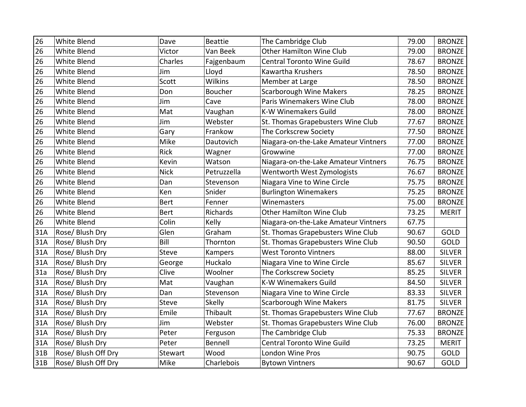| 26  | White Blend               | Dave         | Beattie        | The Cambridge Club                   | 79.00 | <b>BRONZE</b> |
|-----|---------------------------|--------------|----------------|--------------------------------------|-------|---------------|
| 26  | <b>White Blend</b>        | Victor       | Van Beek       | Other Hamilton Wine Club             | 79.00 | <b>BRONZE</b> |
| 26  | White Blend               | Charles      | Fajgenbaum     | <b>Central Toronto Wine Guild</b>    | 78.67 | <b>BRONZE</b> |
| 26  | White Blend               | Jim          | Lloyd          | Kawartha Krushers                    | 78.50 | <b>BRONZE</b> |
| 26  | White Blend               | Scott        | <b>Wilkins</b> | Member at Large                      | 78.50 | <b>BRONZE</b> |
| 26  | White Blend               | Don          | Boucher        | <b>Scarborough Wine Makers</b>       | 78.25 | <b>BRONZE</b> |
| 26  | White Blend               | Jim          | Cave           | Paris Winemakers Wine Club           | 78.00 | <b>BRONZE</b> |
| 26  | White Blend               | Mat          | Vaughan        | <b>K-W Winemakers Guild</b>          | 78.00 | <b>BRONZE</b> |
| 26  | <b>White Blend</b>        | Jim          | Webster        | St. Thomas Grapebusters Wine Club    | 77.67 | <b>BRONZE</b> |
| 26  | <b>White Blend</b>        | Gary         | Frankow        | The Corkscrew Society                | 77.50 | <b>BRONZE</b> |
| 26  | White Blend               | Mike         | Dautovich      | Niagara-on-the-Lake Amateur Vintners | 77.00 | <b>BRONZE</b> |
| 26  | White Blend               | Rick         | Wagner         | Growwine                             | 77.00 | <b>BRONZE</b> |
| 26  | White Blend               | Kevin        | Watson         | Niagara-on-the-Lake Amateur Vintners | 76.75 | <b>BRONZE</b> |
| 26  | White Blend               | <b>Nick</b>  | Petruzzella    | Wentworth West Zymologists           | 76.67 | <b>BRONZE</b> |
| 26  | White Blend               | Dan          | Stevenson      | Niagara Vine to Wine Circle          | 75.75 | <b>BRONZE</b> |
| 26  | White Blend               | Ken          | Snider         | <b>Burlington Winemakers</b>         | 75.25 | <b>BRONZE</b> |
| 26  | White Blend               | <b>Bert</b>  | Fenner         | Winemasters                          | 75.00 | <b>BRONZE</b> |
| 26  | White Blend               | <b>Bert</b>  | Richards       | Other Hamilton Wine Club             | 73.25 | <b>MERIT</b>  |
| 26  | <b>White Blend</b>        | Colin        | Kelly          | Niagara-on-the-Lake Amateur Vintners | 67.75 |               |
| 31A | Rose/ Blush Dry           | Glen         | Graham         | St. Thomas Grapebusters Wine Club    | 90.67 | GOLD          |
| 31A | <b>Rose/Blush Dry</b>     | Bill         | Thornton       | St. Thomas Grapebusters Wine Club    | 90.50 | GOLD          |
| 31A | Rose/Blush Dry            | <b>Steve</b> | Kampers        | <b>West Toronto Vintners</b>         | 88.00 | <b>SILVER</b> |
| 31A | Rose/Blush Dry            | George       | Huckalo        | Niagara Vine to Wine Circle          | 85.67 | <b>SILVER</b> |
| 31a | Rose/Blush Dry            | Clive        | Woolner        | The Corkscrew Society                | 85.25 | <b>SILVER</b> |
| 31A | Rose/Blush Dry            | Mat          | Vaughan        | <b>K-W Winemakers Guild</b>          | 84.50 | <b>SILVER</b> |
| 31A | Rose/Blush Dry            | Dan          | Stevenson      | Niagara Vine to Wine Circle          | 83.33 | <b>SILVER</b> |
| 31A | Rose/ Blush Dry           | Steve        | Skelly         | <b>Scarborough Wine Makers</b>       | 81.75 | <b>SILVER</b> |
| 31A | Rose/Blush Dry            | Emile        | Thibault       | St. Thomas Grapebusters Wine Club    | 77.67 | <b>BRONZE</b> |
| 31A | Rose/Blush Dry            | Jim          | Webster        | St. Thomas Grapebusters Wine Club    | 76.00 | <b>BRONZE</b> |
| 31A | Rose/Blush Dry            | Peter        | Ferguson       | The Cambridge Club                   | 75.33 | <b>BRONZE</b> |
| 31A | Rose/ Blush Dry           | Peter        | Bennell        | <b>Central Toronto Wine Guild</b>    | 73.25 | <b>MERIT</b>  |
| 31B | Rose/ Blush Off Dry       | Stewart      | Wood           | London Wine Pros                     | 90.75 | GOLD          |
| 31B | <b>Rose/Blush Off Dry</b> | Mike         | Charlebois     | <b>Bytown Vintners</b>               | 90.67 | GOLD          |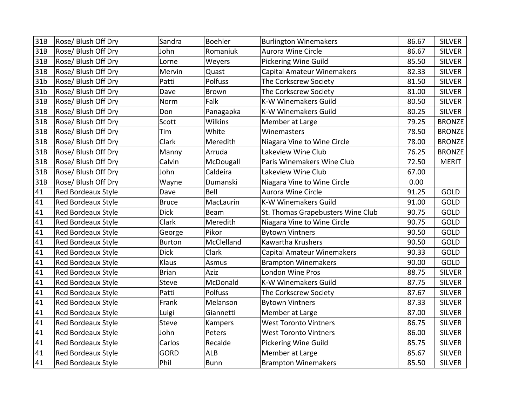| 31B             | Rose/ Blush Off Dry       | Sandra        | <b>Boehler</b> | <b>Burlington Winemakers</b>      | 86.67 | <b>SILVER</b> |
|-----------------|---------------------------|---------------|----------------|-----------------------------------|-------|---------------|
| 31B             | Rose/ Blush Off Dry       | John          | Romaniuk       | Aurora Wine Circle                | 86.67 | <b>SILVER</b> |
| 31B             | Rose/ Blush Off Dry       | Lorne         | Weyers         | <b>Pickering Wine Guild</b>       | 85.50 | <b>SILVER</b> |
| 31B             | Rose/ Blush Off Dry       | Mervin        | Quast          | Capital Amateur Winemakers        | 82.33 | <b>SILVER</b> |
| 31 <sub>b</sub> | Rose/ Blush Off Dry       | Patti         | Polfuss        | The Corkscrew Society             | 81.50 | <b>SILVER</b> |
| 31 <sub>b</sub> | Rose/ Blush Off Dry       | Dave          | <b>Brown</b>   | The Corkscrew Society             | 81.00 | <b>SILVER</b> |
| 31B             | Rose/ Blush Off Dry       | Norm          | Falk           | <b>K-W Winemakers Guild</b>       | 80.50 | <b>SILVER</b> |
| 31B             | Rose/ Blush Off Dry       | Don           | Panagapka      | <b>K-W Winemakers Guild</b>       | 80.25 | <b>SILVER</b> |
| 31B             | Rose/ Blush Off Dry       | Scott         | <b>Wilkins</b> | Member at Large                   | 79.25 | <b>BRONZE</b> |
| 31B             | Rose/ Blush Off Dry       | Tim           | White          | Winemasters                       | 78.50 | <b>BRONZE</b> |
| 31B             | Rose/ Blush Off Dry       | Clark         | Meredith       | Niagara Vine to Wine Circle       | 78.00 | <b>BRONZE</b> |
| 31B             | Rose/ Blush Off Dry       | Manny         | Arruda         | Lakeview Wine Club                | 76.25 | <b>BRONZE</b> |
| 31B             | Rose/ Blush Off Dry       | Calvin        | McDougall      | Paris Winemakers Wine Club        | 72.50 | <b>MERIT</b>  |
| 31B             | Rose/ Blush Off Dry       | John          | Caldeira       | Lakeview Wine Club                | 67.00 |               |
| 31B             | Rose/ Blush Off Dry       | Wayne         | Dumanski       | Niagara Vine to Wine Circle       | 0.00  |               |
| 41              | Red Bordeaux Style        | Dave          | Bell           | Aurora Wine Circle                | 91.25 | <b>GOLD</b>   |
| 41              | Red Bordeaux Style        | <b>Bruce</b>  | MacLaurin      | <b>K-W Winemakers Guild</b>       | 91.00 | <b>GOLD</b>   |
| 41              | <b>Red Bordeaux Style</b> | <b>Dick</b>   | Beam           | St. Thomas Grapebusters Wine Club | 90.75 | <b>GOLD</b>   |
| 41              | <b>Red Bordeaux Style</b> | Clark         | Meredith       | Niagara Vine to Wine Circle       | 90.75 | <b>GOLD</b>   |
| 41              | Red Bordeaux Style        | George        | Pikor          | <b>Bytown Vintners</b>            | 90.50 | GOLD          |
| 41              | Red Bordeaux Style        | <b>Burton</b> | McClelland     | Kawartha Krushers                 | 90.50 | <b>GOLD</b>   |
| 41              | Red Bordeaux Style        | <b>Dick</b>   | Clark          | <b>Capital Amateur Winemakers</b> | 90.33 | GOLD          |
| 41              | Red Bordeaux Style        | Klaus         | Asmus          | <b>Brampton Winemakers</b>        | 90.00 | GOLD          |
| 41              | Red Bordeaux Style        | <b>Brian</b>  | Aziz           | London Wine Pros                  | 88.75 | <b>SILVER</b> |
| 41              | Red Bordeaux Style        | <b>Steve</b>  | McDonald       | <b>K-W Winemakers Guild</b>       | 87.75 | <b>SILVER</b> |
| 41              | Red Bordeaux Style        | Patti         | Polfuss        | The Corkscrew Society             | 87.67 | <b>SILVER</b> |
| 41              | <b>Red Bordeaux Style</b> | Frank         | Melanson       | <b>Bytown Vintners</b>            | 87.33 | <b>SILVER</b> |
| 41              | Red Bordeaux Style        | Luigi         | Giannetti      | Member at Large                   | 87.00 | <b>SILVER</b> |
| 41              | Red Bordeaux Style        | <b>Steve</b>  | Kampers        | <b>West Toronto Vintners</b>      | 86.75 | <b>SILVER</b> |
| 41              | <b>Red Bordeaux Style</b> | John          | Peters         | <b>West Toronto Vintners</b>      | 86.00 | <b>SILVER</b> |
| 41              | Red Bordeaux Style        | Carlos        | Recalde        | Pickering Wine Guild              | 85.75 | <b>SILVER</b> |
| 41              | Red Bordeaux Style        | <b>GORD</b>   | <b>ALB</b>     | Member at Large                   | 85.67 | <b>SILVER</b> |
| 41              | <b>Red Bordeaux Style</b> | Phil          | <b>Bunn</b>    | <b>Brampton Winemakers</b>        | 85.50 | <b>SILVER</b> |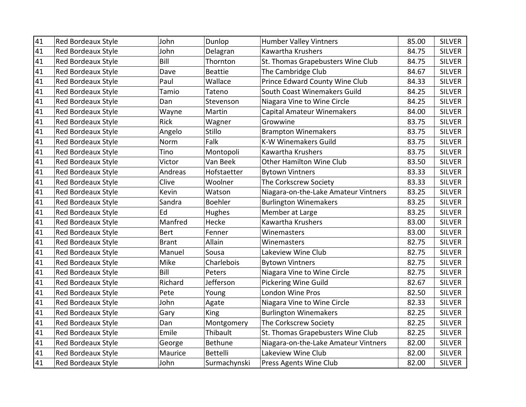| 41 | <b>Red Bordeaux Style</b> | John         | Dunlop          | <b>Humber Valley Vintners</b>        | 85.00 | <b>SILVER</b> |
|----|---------------------------|--------------|-----------------|--------------------------------------|-------|---------------|
| 41 | Red Bordeaux Style        | John         | Delagran        | Kawartha Krushers                    | 84.75 | <b>SILVER</b> |
| 41 | Red Bordeaux Style        | Bill         | Thornton        | St. Thomas Grapebusters Wine Club    | 84.75 | <b>SILVER</b> |
| 41 | Red Bordeaux Style        | Dave         | <b>Beattie</b>  | The Cambridge Club                   | 84.67 | <b>SILVER</b> |
| 41 | Red Bordeaux Style        | Paul         | Wallace         | Prince Edward County Wine Club       | 84.33 | <b>SILVER</b> |
| 41 | Red Bordeaux Style        | Tamio        | Tateno          | South Coast Winemakers Guild         | 84.25 | <b>SILVER</b> |
| 41 | <b>Red Bordeaux Style</b> | Dan          | Stevenson       | Niagara Vine to Wine Circle          | 84.25 | <b>SILVER</b> |
| 41 | Red Bordeaux Style        | Wayne        | Martin          | <b>Capital Amateur Winemakers</b>    | 84.00 | <b>SILVER</b> |
| 41 | Red Bordeaux Style        | <b>Rick</b>  | Wagner          | Growwine                             | 83.75 | <b>SILVER</b> |
| 41 | Red Bordeaux Style        | Angelo       | Stillo          | <b>Brampton Winemakers</b>           | 83.75 | <b>SILVER</b> |
| 41 | Red Bordeaux Style        | Norm         | Falk            | <b>K-W Winemakers Guild</b>          | 83.75 | <b>SILVER</b> |
| 41 | Red Bordeaux Style        | Tino         | Montopoli       | Kawartha Krushers                    | 83.75 | <b>SILVER</b> |
| 41 | Red Bordeaux Style        | Victor       | Van Beek        | Other Hamilton Wine Club             | 83.50 | <b>SILVER</b> |
| 41 | Red Bordeaux Style        | Andreas      | Hofstaetter     | <b>Bytown Vintners</b>               | 83.33 | <b>SILVER</b> |
| 41 | <b>Red Bordeaux Style</b> | Clive        | Woolner         | The Corkscrew Society                | 83.33 | <b>SILVER</b> |
| 41 | Red Bordeaux Style        | Kevin        | Watson          | Niagara-on-the-Lake Amateur Vintners | 83.25 | <b>SILVER</b> |
| 41 | Red Bordeaux Style        | Sandra       | <b>Boehler</b>  | <b>Burlington Winemakers</b>         | 83.25 | <b>SILVER</b> |
| 41 | Red Bordeaux Style        | Ed           | Hughes          | Member at Large                      | 83.25 | <b>SILVER</b> |
| 41 | Red Bordeaux Style        | Manfred      | Hecke           | Kawartha Krushers                    | 83.00 | <b>SILVER</b> |
| 41 | Red Bordeaux Style        | <b>Bert</b>  | Fenner          | Winemasters                          | 83.00 | <b>SILVER</b> |
| 41 | Red Bordeaux Style        | <b>Brant</b> | Allain          | Winemasters                          | 82.75 | <b>SILVER</b> |
| 41 | <b>Red Bordeaux Style</b> | Manuel       | Sousa           | Lakeview Wine Club                   | 82.75 | <b>SILVER</b> |
| 41 | Red Bordeaux Style        | Mike         | Charlebois      | <b>Bytown Vintners</b>               | 82.75 | <b>SILVER</b> |
| 41 | Red Bordeaux Style        | Bill         | Peters          | Niagara Vine to Wine Circle          | 82.75 | <b>SILVER</b> |
| 41 | Red Bordeaux Style        | Richard      | Jefferson       | <b>Pickering Wine Guild</b>          | 82.67 | <b>SILVER</b> |
| 41 | Red Bordeaux Style        | Pete         | Young           | London Wine Pros                     | 82.50 | <b>SILVER</b> |
| 41 | Red Bordeaux Style        | John         | Agate           | Niagara Vine to Wine Circle          | 82.33 | <b>SILVER</b> |
| 41 | Red Bordeaux Style        | Gary         | <b>King</b>     | <b>Burlington Winemakers</b>         | 82.25 | <b>SILVER</b> |
| 41 | Red Bordeaux Style        | Dan          | Montgomery      | The Corkscrew Society                | 82.25 | <b>SILVER</b> |
| 41 | <b>Red Bordeaux Style</b> | Emile        | Thibault        | St. Thomas Grapebusters Wine Club    | 82.25 | <b>SILVER</b> |
| 41 | Red Bordeaux Style        | George       | Bethune         | Niagara-on-the-Lake Amateur Vintners | 82.00 | <b>SILVER</b> |
| 41 | Red Bordeaux Style        | Maurice      | <b>Bettelli</b> | Lakeview Wine Club                   | 82.00 | <b>SILVER</b> |
| 41 | <b>Red Bordeaux Style</b> | John         | Surmachynski    | Press Agents Wine Club               | 82.00 | <b>SILVER</b> |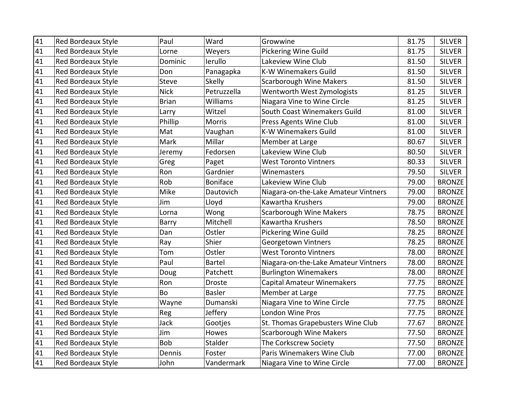| 41 | <b>Red Bordeaux Style</b> | Paul         | Ward            | Growwine                             | 81.75 | <b>SILVER</b> |
|----|---------------------------|--------------|-----------------|--------------------------------------|-------|---------------|
| 41 | Red Bordeaux Style        | Lorne        | Weyers          | <b>Pickering Wine Guild</b>          | 81.75 | <b>SILVER</b> |
| 41 | Red Bordeaux Style        | Dominic      | lerullo         | Lakeview Wine Club                   | 81.50 | <b>SILVER</b> |
| 41 | Red Bordeaux Style        | Don          | Panagapka       | <b>K-W Winemakers Guild</b>          | 81.50 | <b>SILVER</b> |
| 41 | <b>Red Bordeaux Style</b> | <b>Steve</b> | Skelly          | <b>Scarborough Wine Makers</b>       | 81.50 | <b>SILVER</b> |
| 41 | Red Bordeaux Style        | <b>Nick</b>  | Petruzzella     | Wentworth West Zymologists           | 81.25 | <b>SILVER</b> |
| 41 | <b>Red Bordeaux Style</b> | <b>Brian</b> | Williams        | Niagara Vine to Wine Circle          | 81.25 | <b>SILVER</b> |
| 41 | Red Bordeaux Style        | Larry        | Witzel          | South Coast Winemakers Guild         | 81.00 | <b>SILVER</b> |
| 41 | Red Bordeaux Style        | Phillip      | <b>Morris</b>   | Press Agents Wine Club               | 81.00 | <b>SILVER</b> |
| 41 | Red Bordeaux Style        | Mat          | Vaughan         | <b>K-W Winemakers Guild</b>          | 81.00 | <b>SILVER</b> |
| 41 | Red Bordeaux Style        | Mark         | Millar          | Member at Large                      | 80.67 | <b>SILVER</b> |
| 41 | Red Bordeaux Style        | Jeremy       | Fedorsen        | Lakeview Wine Club                   | 80.50 | <b>SILVER</b> |
| 41 | Red Bordeaux Style        | Greg         | Paget           | <b>West Toronto Vintners</b>         | 80.33 | <b>SILVER</b> |
| 41 | Red Bordeaux Style        | Ron          | Gardnier        | Winemasters                          | 79.50 | <b>SILVER</b> |
| 41 | <b>Red Bordeaux Style</b> | Rob          | <b>Boniface</b> | Lakeview Wine Club                   | 79.00 | <b>BRONZE</b> |
| 41 | Red Bordeaux Style        | Mike         | Dautovich       | Niagara-on-the-Lake Amateur Vintners | 79.00 | <b>BRONZE</b> |
| 41 | Red Bordeaux Style        | Jim          | Lloyd           | Kawartha Krushers                    | 79.00 | <b>BRONZE</b> |
| 41 | Red Bordeaux Style        | Lorna        | Wong            | <b>Scarborough Wine Makers</b>       | 78.75 | <b>BRONZE</b> |
| 41 | Red Bordeaux Style        | Barry        | Mitchell        | Kawartha Krushers                    | 78.50 | <b>BRONZE</b> |
| 41 | Red Bordeaux Style        | Dan          | Ostler          | <b>Pickering Wine Guild</b>          | 78.25 | <b>BRONZE</b> |
| 41 | Red Bordeaux Style        | Ray          | Shier           | Georgetown Vintners                  | 78.25 | <b>BRONZE</b> |
| 41 | <b>Red Bordeaux Style</b> | Tom          | Ostler          | <b>West Toronto Vintners</b>         | 78.00 | <b>BRONZE</b> |
| 41 | Red Bordeaux Style        | Paul         | <b>Bartel</b>   | Niagara-on-the-Lake Amateur Vintners | 78.00 | <b>BRONZE</b> |
| 41 | Red Bordeaux Style        | Doug         | Patchett        | <b>Burlington Winemakers</b>         | 78.00 | <b>BRONZE</b> |
| 41 | Red Bordeaux Style        | Ron          | Droste          | <b>Capital Amateur Winemakers</b>    | 77.75 | <b>BRONZE</b> |
| 41 | Red Bordeaux Style        | Bo           | <b>Basler</b>   | Member at Large                      | 77.75 | <b>BRONZE</b> |
| 41 | Red Bordeaux Style        | Wayne        | Dumanski        | Niagara Vine to Wine Circle          | 77.75 | <b>BRONZE</b> |
| 41 | Red Bordeaux Style        | Reg          | Jeffery         | London Wine Pros                     | 77.75 | <b>BRONZE</b> |
| 41 | Red Bordeaux Style        | Jack         | Gootjes         | St. Thomas Grapebusters Wine Club    | 77.67 | <b>BRONZE</b> |
| 41 | <b>Red Bordeaux Style</b> | Jim          | Howes           | <b>Scarborough Wine Makers</b>       | 77.50 | <b>BRONZE</b> |
| 41 | Red Bordeaux Style        | Bob          | Stalder         | The Corkscrew Society                | 77.50 | <b>BRONZE</b> |
| 41 | Red Bordeaux Style        | Dennis       | Foster          | Paris Winemakers Wine Club           | 77.00 | <b>BRONZE</b> |
| 41 | <b>Red Bordeaux Style</b> | John         | Vandermark      | Niagara Vine to Wine Circle          | 77.00 | <b>BRONZE</b> |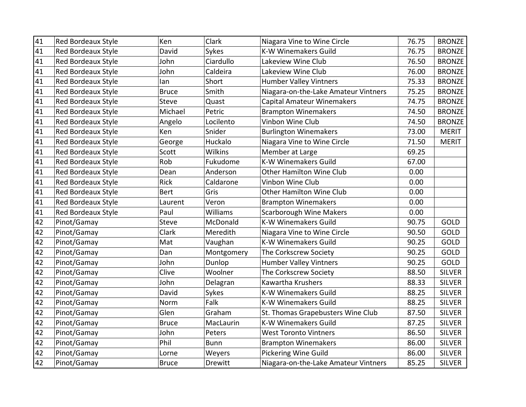| 41 | <b>Red Bordeaux Style</b> | Ken          | Clark           | Niagara Vine to Wine Circle          | 76.75 | <b>BRONZE</b> |
|----|---------------------------|--------------|-----------------|--------------------------------------|-------|---------------|
| 41 | Red Bordeaux Style        | David        | Sykes           | <b>K-W Winemakers Guild</b>          | 76.75 | <b>BRONZE</b> |
| 41 | Red Bordeaux Style        | John         | Ciardullo       | Lakeview Wine Club                   | 76.50 | <b>BRONZE</b> |
| 41 | Red Bordeaux Style        | John         | Caldeira        | Lakeview Wine Club                   | 76.00 | <b>BRONZE</b> |
| 41 | Red Bordeaux Style        | lan          | Short           | <b>Humber Valley Vintners</b>        | 75.33 | <b>BRONZE</b> |
| 41 | Red Bordeaux Style        | <b>Bruce</b> | Smith           | Niagara-on-the-Lake Amateur Vintners | 75.25 | <b>BRONZE</b> |
| 41 | Red Bordeaux Style        | <b>Steve</b> | Quast           | <b>Capital Amateur Winemakers</b>    | 74.75 | <b>BRONZE</b> |
| 41 | Red Bordeaux Style        | Michael      | Petric          | <b>Brampton Winemakers</b>           | 74.50 | <b>BRONZE</b> |
| 41 | Red Bordeaux Style        | Angelo       | Locilento       | Vinbon Wine Club                     | 74.50 | <b>BRONZE</b> |
| 41 | Red Bordeaux Style        | Ken          | Snider          | <b>Burlington Winemakers</b>         | 73.00 | <b>MERIT</b>  |
| 41 | Red Bordeaux Style        | George       | Huckalo         | Niagara Vine to Wine Circle          | 71.50 | <b>MERIT</b>  |
| 41 | Red Bordeaux Style        | Scott        | <b>Wilkins</b>  | Member at Large                      | 69.25 |               |
| 41 | Red Bordeaux Style        | Rob          | Fukudome        | <b>K-W Winemakers Guild</b>          | 67.00 |               |
| 41 | Red Bordeaux Style        | Dean         | Anderson        | Other Hamilton Wine Club             | 0.00  |               |
| 41 | Red Bordeaux Style        | <b>Rick</b>  | Caldarone       | Vinbon Wine Club                     | 0.00  |               |
| 41 | Red Bordeaux Style        | <b>Bert</b>  | Gris            | Other Hamilton Wine Club             | 0.00  |               |
| 41 | Red Bordeaux Style        | Laurent      | Veron           | <b>Brampton Winemakers</b>           | 0.00  |               |
| 41 | Red Bordeaux Style        | Paul         | <b>Williams</b> | <b>Scarborough Wine Makers</b>       | 0.00  |               |
| 42 | Pinot/Gamay               | Steve        | McDonald        | <b>K-W Winemakers Guild</b>          | 90.75 | GOLD          |
| 42 | Pinot/Gamay               | Clark        | Meredith        | Niagara Vine to Wine Circle          | 90.50 | GOLD          |
| 42 | Pinot/Gamay               | Mat          | Vaughan         | <b>K-W Winemakers Guild</b>          | 90.25 | GOLD          |
| 42 | Pinot/Gamay               | Dan          | Montgomery      | The Corkscrew Society                | 90.25 | GOLD          |
| 42 | Pinot/Gamay               | John         | Dunlop          | <b>Humber Valley Vintners</b>        | 90.25 | GOLD          |
| 42 | Pinot/Gamay               | Clive        | Woolner         | The Corkscrew Society                | 88.50 | <b>SILVER</b> |
| 42 | Pinot/Gamay               | John         | Delagran        | Kawartha Krushers                    | 88.33 | <b>SILVER</b> |
| 42 | Pinot/Gamay               | David        | Sykes           | <b>K-W Winemakers Guild</b>          | 88.25 | <b>SILVER</b> |
| 42 | Pinot/Gamay               | Norm         | Falk            | <b>K-W Winemakers Guild</b>          | 88.25 | <b>SILVER</b> |
| 42 | Pinot/Gamay               | Glen         | Graham          | St. Thomas Grapebusters Wine Club    | 87.50 | <b>SILVER</b> |
| 42 | Pinot/Gamay               | <b>Bruce</b> | MacLaurin       | <b>K-W Winemakers Guild</b>          | 87.25 | <b>SILVER</b> |
| 42 | Pinot/Gamay               | John         | Peters          | <b>West Toronto Vintners</b>         | 86.50 | <b>SILVER</b> |
| 42 | Pinot/Gamay               | Phil         | <b>Bunn</b>     | <b>Brampton Winemakers</b>           | 86.00 | <b>SILVER</b> |
| 42 | Pinot/Gamay               | Lorne        | Weyers          | <b>Pickering Wine Guild</b>          | 86.00 | <b>SILVER</b> |
| 42 | Pinot/Gamay               | <b>Bruce</b> | Drewitt         | Niagara-on-the-Lake Amateur Vintners | 85.25 | <b>SILVER</b> |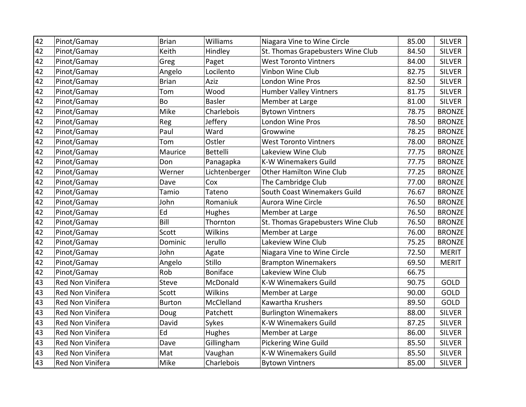| 42 | Pinot/Gamay      | <b>Brian</b>  | <b>Williams</b> | Niagara Vine to Wine Circle       | 85.00 | <b>SILVER</b> |
|----|------------------|---------------|-----------------|-----------------------------------|-------|---------------|
| 42 | Pinot/Gamay      | Keith         | Hindley         | St. Thomas Grapebusters Wine Club | 84.50 | <b>SILVER</b> |
| 42 | Pinot/Gamay      | Greg          | Paget           | <b>West Toronto Vintners</b>      | 84.00 | <b>SILVER</b> |
| 42 | Pinot/Gamay      | Angelo        | Locilento       | Vinbon Wine Club                  | 82.75 | <b>SILVER</b> |
| 42 | Pinot/Gamay      | <b>Brian</b>  | Aziz            | <b>London Wine Pros</b>           | 82.50 | <b>SILVER</b> |
| 42 | Pinot/Gamay      | Tom           | Wood            | <b>Humber Valley Vintners</b>     | 81.75 | <b>SILVER</b> |
| 42 | Pinot/Gamay      | Bo            | <b>Basler</b>   | Member at Large                   | 81.00 | <b>SILVER</b> |
| 42 | Pinot/Gamay      | Mike          | Charlebois      | <b>Bytown Vintners</b>            | 78.75 | <b>BRONZE</b> |
| 42 | Pinot/Gamay      | Reg           | Jeffery         | London Wine Pros                  | 78.50 | <b>BRONZE</b> |
| 42 | Pinot/Gamay      | Paul          | Ward            | Growwine                          | 78.25 | <b>BRONZE</b> |
| 42 | Pinot/Gamay      | Tom           | Ostler          | <b>West Toronto Vintners</b>      | 78.00 | <b>BRONZE</b> |
| 42 | Pinot/Gamay      | Maurice       | <b>Bettelli</b> | Lakeview Wine Club                | 77.75 | <b>BRONZE</b> |
| 42 | Pinot/Gamay      | Don           | Panagapka       | <b>K-W Winemakers Guild</b>       | 77.75 | <b>BRONZE</b> |
| 42 | Pinot/Gamay      | Werner        | Lichtenberger   | <b>Other Hamilton Wine Club</b>   | 77.25 | <b>BRONZE</b> |
| 42 | Pinot/Gamay      | Dave          | Cox             | The Cambridge Club                | 77.00 | <b>BRONZE</b> |
| 42 | Pinot/Gamay      | Tamio         | Tateno          | South Coast Winemakers Guild      | 76.67 | <b>BRONZE</b> |
| 42 | Pinot/Gamay      | John          | Romaniuk        | Aurora Wine Circle                | 76.50 | <b>BRONZE</b> |
| 42 | Pinot/Gamay      | Ed            | Hughes          | Member at Large                   | 76.50 | <b>BRONZE</b> |
| 42 | Pinot/Gamay      | Bill          | Thornton        | St. Thomas Grapebusters Wine Club | 76.50 | <b>BRONZE</b> |
| 42 | Pinot/Gamay      | Scott         | <b>Wilkins</b>  | Member at Large                   | 76.00 | <b>BRONZE</b> |
| 42 | Pinot/Gamay      | Dominic       | lerullo         | Lakeview Wine Club                | 75.25 | <b>BRONZE</b> |
| 42 | Pinot/Gamay      | John          | Agate           | Niagara Vine to Wine Circle       | 72.50 | <b>MERIT</b>  |
| 42 | Pinot/Gamay      | Angelo        | Stillo          | <b>Brampton Winemakers</b>        | 69.50 | <b>MERIT</b>  |
| 42 | Pinot/Gamay      | Rob           | <b>Boniface</b> | Lakeview Wine Club                | 66.75 |               |
| 43 | Red Non Vinifera | <b>Steve</b>  | McDonald        | <b>K-W Winemakers Guild</b>       | 90.75 | GOLD          |
| 43 | Red Non Vinifera | Scott         | Wilkins         | Member at Large                   | 90.00 | GOLD          |
| 43 | Red Non Vinifera | <b>Burton</b> | McClelland      | Kawartha Krushers                 | 89.50 | <b>GOLD</b>   |
| 43 | Red Non Vinifera | Doug          | Patchett        | <b>Burlington Winemakers</b>      | 88.00 | <b>SILVER</b> |
| 43 | Red Non Vinifera | David         | Sykes           | <b>K-W Winemakers Guild</b>       | 87.25 | <b>SILVER</b> |
| 43 | Red Non Vinifera | Ed            | Hughes          | Member at Large                   | 86.00 | <b>SILVER</b> |
| 43 | Red Non Vinifera | Dave          | Gillingham      | Pickering Wine Guild              | 85.50 | <b>SILVER</b> |
| 43 | Red Non Vinifera | Mat           | Vaughan         | <b>K-W Winemakers Guild</b>       | 85.50 | <b>SILVER</b> |
| 43 | Red Non Vinifera | Mike          | Charlebois      | <b>Bytown Vintners</b>            | 85.00 | <b>SILVER</b> |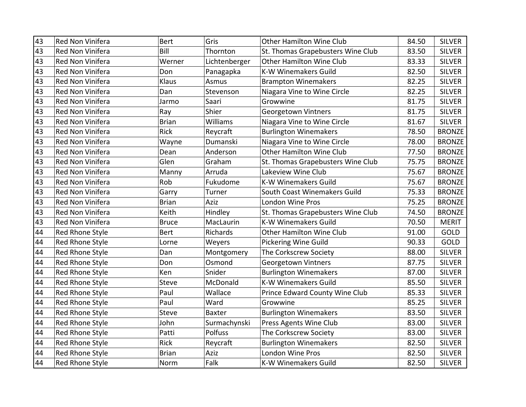| 43 | Red Non Vinifera        | <b>Bert</b>  | Gris          | <b>Other Hamilton Wine Club</b>   | 84.50 | <b>SILVER</b> |
|----|-------------------------|--------------|---------------|-----------------------------------|-------|---------------|
| 43 | Red Non Vinifera        | Bill         | Thornton      | St. Thomas Grapebusters Wine Club | 83.50 | <b>SILVER</b> |
| 43 | Red Non Vinifera        | Werner       | Lichtenberger | <b>Other Hamilton Wine Club</b>   | 83.33 | <b>SILVER</b> |
| 43 | Red Non Vinifera        | Don          | Panagapka     | <b>K-W Winemakers Guild</b>       | 82.50 | <b>SILVER</b> |
| 43 | Red Non Vinifera        | Klaus        | Asmus         | <b>Brampton Winemakers</b>        | 82.25 | <b>SILVER</b> |
| 43 | Red Non Vinifera        | Dan          | Stevenson     | Niagara Vine to Wine Circle       | 82.25 | <b>SILVER</b> |
| 43 | Red Non Vinifera        | Jarmo        | Saari         | Growwine                          | 81.75 | <b>SILVER</b> |
| 43 | Red Non Vinifera        | Ray          | Shier         | <b>Georgetown Vintners</b>        | 81.75 | <b>SILVER</b> |
| 43 | <b>Red Non Vinifera</b> | <b>Brian</b> | Williams      | Niagara Vine to Wine Circle       | 81.67 | <b>SILVER</b> |
| 43 | Red Non Vinifera        | <b>Rick</b>  | Reycraft      | <b>Burlington Winemakers</b>      | 78.50 | <b>BRONZE</b> |
| 43 | Red Non Vinifera        | Wayne        | Dumanski      | Niagara Vine to Wine Circle       | 78.00 | <b>BRONZE</b> |
| 43 | Red Non Vinifera        | Dean         | Anderson      | Other Hamilton Wine Club          | 77.50 | <b>BRONZE</b> |
| 43 | Red Non Vinifera        | Glen         | Graham        | St. Thomas Grapebusters Wine Club | 75.75 | <b>BRONZE</b> |
| 43 | Red Non Vinifera        | Manny        | Arruda        | Lakeview Wine Club                | 75.67 | <b>BRONZE</b> |
| 43 | Red Non Vinifera        | Rob          | Fukudome      | <b>K-W Winemakers Guild</b>       | 75.67 | <b>BRONZE</b> |
| 43 | Red Non Vinifera        | Garry        | Turner        | South Coast Winemakers Guild      | 75.33 | <b>BRONZE</b> |
| 43 | Red Non Vinifera        | <b>Brian</b> | Aziz          | London Wine Pros                  | 75.25 | <b>BRONZE</b> |
| 43 | Red Non Vinifera        | Keith        | Hindley       | St. Thomas Grapebusters Wine Club | 74.50 | <b>BRONZE</b> |
| 43 | Red Non Vinifera        | <b>Bruce</b> | MacLaurin     | <b>K-W Winemakers Guild</b>       | 70.50 | <b>MERIT</b>  |
| 44 | Red Rhone Style         | Bert         | Richards      | Other Hamilton Wine Club          | 91.00 | GOLD          |
| 44 | <b>Red Rhone Style</b>  | Lorne        | Weyers        | Pickering Wine Guild              | 90.33 | GOLD          |
| 44 | Red Rhone Style         | Dan          | Montgomery    | The Corkscrew Society             | 88.00 | <b>SILVER</b> |
| 44 | Red Rhone Style         | Don          | Osmond        | Georgetown Vintners               | 87.75 | <b>SILVER</b> |
| 44 | Red Rhone Style         | Ken          | Snider        | <b>Burlington Winemakers</b>      | 87.00 | <b>SILVER</b> |
| 44 | <b>Red Rhone Style</b>  | <b>Steve</b> | McDonald      | <b>K-W Winemakers Guild</b>       | 85.50 | <b>SILVER</b> |
| 44 | Red Rhone Style         | Paul         | Wallace       | Prince Edward County Wine Club    | 85.33 | <b>SILVER</b> |
| 44 | Red Rhone Style         | Paul         | Ward          | Growwine                          | 85.25 | <b>SILVER</b> |
| 44 | Red Rhone Style         | Steve        | <b>Baxter</b> | <b>Burlington Winemakers</b>      | 83.50 | <b>SILVER</b> |
| 44 | <b>Red Rhone Style</b>  | John         | Surmachynski  | Press Agents Wine Club            | 83.00 | <b>SILVER</b> |
| 44 | Red Rhone Style         | Patti        | Polfuss       | The Corkscrew Society             | 83.00 | <b>SILVER</b> |
| 44 | Red Rhone Style         | <b>Rick</b>  | Reycraft      | <b>Burlington Winemakers</b>      | 82.50 | <b>SILVER</b> |
| 44 | <b>Red Rhone Style</b>  | <b>Brian</b> | Aziz          | London Wine Pros                  | 82.50 | <b>SILVER</b> |
| 44 | Red Rhone Style         | Norm         | Falk          | K-W Winemakers Guild              | 82.50 | <b>SILVER</b> |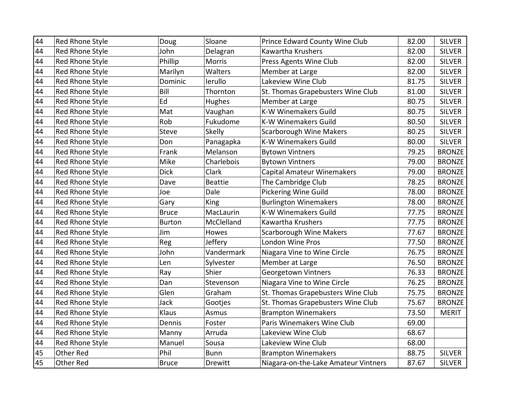| 44 | Red Rhone Style        | Doug          | Sloane         | Prince Edward County Wine Club       | 82.00 | <b>SILVER</b> |
|----|------------------------|---------------|----------------|--------------------------------------|-------|---------------|
| 44 | Red Rhone Style        | John          | Delagran       | Kawartha Krushers                    | 82.00 | <b>SILVER</b> |
| 44 | Red Rhone Style        | Phillip       | Morris         | Press Agents Wine Club               | 82.00 | <b>SILVER</b> |
| 44 | Red Rhone Style        | Marilyn       | Walters        | Member at Large                      | 82.00 | <b>SILVER</b> |
| 44 | Red Rhone Style        | Dominic       | lerullo        | Lakeview Wine Club                   | 81.75 | <b>SILVER</b> |
| 44 | <b>Red Rhone Style</b> | Bill          | Thornton       | St. Thomas Grapebusters Wine Club    | 81.00 | <b>SILVER</b> |
| 44 | Red Rhone Style        | Ed            | Hughes         | Member at Large                      | 80.75 | <b>SILVER</b> |
| 44 | Red Rhone Style        | Mat           | Vaughan        | <b>K-W Winemakers Guild</b>          | 80.75 | <b>SILVER</b> |
| 44 | <b>Red Rhone Style</b> | Rob           | Fukudome       | <b>K-W Winemakers Guild</b>          | 80.50 | <b>SILVER</b> |
| 44 | <b>Red Rhone Style</b> | <b>Steve</b>  | Skelly         | <b>Scarborough Wine Makers</b>       | 80.25 | <b>SILVER</b> |
| 44 | Red Rhone Style        | Don           | Panagapka      | <b>K-W Winemakers Guild</b>          | 80.00 | <b>SILVER</b> |
| 44 | Red Rhone Style        | Frank         | Melanson       | <b>Bytown Vintners</b>               | 79.25 | <b>BRONZE</b> |
| 44 | <b>Red Rhone Style</b> | Mike          | Charlebois     | <b>Bytown Vintners</b>               | 79.00 | <b>BRONZE</b> |
| 44 | Red Rhone Style        | <b>Dick</b>   | Clark          | <b>Capital Amateur Winemakers</b>    | 79.00 | <b>BRONZE</b> |
| 44 | Red Rhone Style        | Dave          | <b>Beattie</b> | The Cambridge Club                   | 78.25 | <b>BRONZE</b> |
| 44 | Red Rhone Style        | Joe           | Dale           | <b>Pickering Wine Guild</b>          | 78.00 | <b>BRONZE</b> |
| 44 | Red Rhone Style        | Gary          | <b>King</b>    | <b>Burlington Winemakers</b>         | 78.00 | <b>BRONZE</b> |
| 44 | Red Rhone Style        | <b>Bruce</b>  | MacLaurin      | <b>K-W Winemakers Guild</b>          | 77.75 | <b>BRONZE</b> |
| 44 | Red Rhone Style        | <b>Burton</b> | McClelland     | Kawartha Krushers                    | 77.75 | <b>BRONZE</b> |
| 44 | Red Rhone Style        | Jim           | Howes          | <b>Scarborough Wine Makers</b>       | 77.67 | <b>BRONZE</b> |
| 44 | <b>Red Rhone Style</b> | Reg           | Jeffery        | <b>London Wine Pros</b>              | 77.50 | <b>BRONZE</b> |
| 44 | Red Rhone Style        | John          | Vandermark     | Niagara Vine to Wine Circle          | 76.75 | <b>BRONZE</b> |
| 44 | <b>Red Rhone Style</b> | Len           | Sylvester      | Member at Large                      | 76.50 | <b>BRONZE</b> |
| 44 | Red Rhone Style        | Ray           | Shier          | <b>Georgetown Vintners</b>           | 76.33 | <b>BRONZE</b> |
| 44 | Red Rhone Style        | Dan           | Stevenson      | Niagara Vine to Wine Circle          | 76.25 | <b>BRONZE</b> |
| 44 | Red Rhone Style        | Glen          | Graham         | St. Thomas Grapebusters Wine Club    | 75.75 | <b>BRONZE</b> |
| 44 | <b>Red Rhone Style</b> | Jack          | Gootjes        | St. Thomas Grapebusters Wine Club    | 75.67 | <b>BRONZE</b> |
| 44 | <b>Red Rhone Style</b> | Klaus         | Asmus          | <b>Brampton Winemakers</b>           | 73.50 | <b>MERIT</b>  |
| 44 | Red Rhone Style        | Dennis        | Foster         | Paris Winemakers Wine Club           | 69.00 |               |
| 44 | Red Rhone Style        | Manny         | Arruda         | Lakeview Wine Club                   | 68.67 |               |
| 44 | Red Rhone Style        | Manuel        | Sousa          | Lakeview Wine Club                   | 68.00 |               |
| 45 | <b>Other Red</b>       | Phil          | <b>Bunn</b>    | <b>Brampton Winemakers</b>           | 88.75 | <b>SILVER</b> |
| 45 | <b>Other Red</b>       | <b>Bruce</b>  | Drewitt        | Niagara-on-the-Lake Amateur Vintners | 87.67 | <b>SILVER</b> |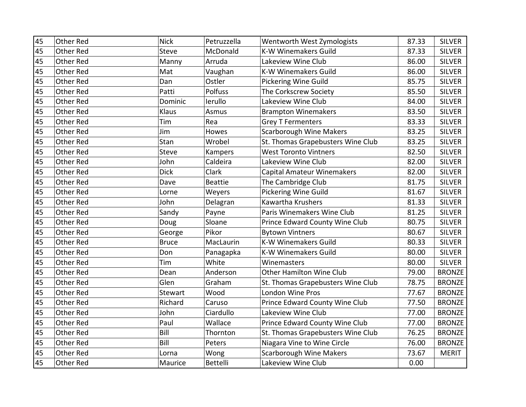| 45 | <b>Other Red</b> | <b>Nick</b>  | Petruzzella    | Wentworth West Zymologists        | 87.33 | <b>SILVER</b> |
|----|------------------|--------------|----------------|-----------------------------------|-------|---------------|
| 45 | <b>Other Red</b> | <b>Steve</b> | McDonald       | <b>K-W Winemakers Guild</b>       | 87.33 | <b>SILVER</b> |
| 45 | <b>Other Red</b> | Manny        | Arruda         | Lakeview Wine Club                | 86.00 | <b>SILVER</b> |
| 45 | <b>Other Red</b> | Mat          | Vaughan        | <b>K-W Winemakers Guild</b>       | 86.00 | <b>SILVER</b> |
| 45 | <b>Other Red</b> | Dan          | Ostler         | Pickering Wine Guild              | 85.75 | <b>SILVER</b> |
| 45 | Other Red        | Patti        | Polfuss        | The Corkscrew Society             | 85.50 | <b>SILVER</b> |
| 45 | <b>Other Red</b> | Dominic      | lerullo        | Lakeview Wine Club                | 84.00 | <b>SILVER</b> |
| 45 | <b>Other Red</b> | Klaus        | Asmus          | <b>Brampton Winemakers</b>        | 83.50 | <b>SILVER</b> |
| 45 | <b>Other Red</b> | Tim          | Rea            | <b>Grey T Fermenters</b>          | 83.33 | <b>SILVER</b> |
| 45 | <b>Other Red</b> | Jim          | Howes          | <b>Scarborough Wine Makers</b>    | 83.25 | <b>SILVER</b> |
| 45 | <b>Other Red</b> | Stan         | Wrobel         | St. Thomas Grapebusters Wine Club | 83.25 | <b>SILVER</b> |
| 45 | <b>Other Red</b> | <b>Steve</b> | <b>Kampers</b> | <b>West Toronto Vintners</b>      | 82.50 | <b>SILVER</b> |
| 45 | <b>Other Red</b> | John         | Caldeira       | Lakeview Wine Club                | 82.00 | <b>SILVER</b> |
| 45 | <b>Other Red</b> | <b>Dick</b>  | Clark          | <b>Capital Amateur Winemakers</b> | 82.00 | <b>SILVER</b> |
| 45 | <b>Other Red</b> | Dave         | <b>Beattie</b> | The Cambridge Club                | 81.75 | <b>SILVER</b> |
| 45 | <b>Other Red</b> | Lorne        | Weyers         | Pickering Wine Guild              | 81.67 | <b>SILVER</b> |
| 45 | <b>Other Red</b> | John         | Delagran       | Kawartha Krushers                 | 81.33 | <b>SILVER</b> |
| 45 | <b>Other Red</b> | Sandy        | Payne          | Paris Winemakers Wine Club        | 81.25 | <b>SILVER</b> |
| 45 | <b>Other Red</b> | Doug         | Sloane         | Prince Edward County Wine Club    | 80.75 | <b>SILVER</b> |
| 45 | <b>Other Red</b> | George       | Pikor          | <b>Bytown Vintners</b>            | 80.67 | <b>SILVER</b> |
| 45 | Other Red        | <b>Bruce</b> | MacLaurin      | <b>K-W Winemakers Guild</b>       | 80.33 | <b>SILVER</b> |
| 45 | <b>Other Red</b> | Don          | Panagapka      | <b>K-W Winemakers Guild</b>       | 80.00 | <b>SILVER</b> |
| 45 | <b>Other Red</b> | Tim          | White          | Winemasters                       | 80.00 | <b>SILVER</b> |
| 45 | <b>Other Red</b> | Dean         | Anderson       | <b>Other Hamilton Wine Club</b>   | 79.00 | <b>BRONZE</b> |
| 45 | Other Red        | Glen         | Graham         | St. Thomas Grapebusters Wine Club | 78.75 | <b>BRONZE</b> |
| 45 | <b>Other Red</b> | Stewart      | Wood           | London Wine Pros                  | 77.67 | <b>BRONZE</b> |
| 45 | <b>Other Red</b> | Richard      | Caruso         | Prince Edward County Wine Club    | 77.50 | <b>BRONZE</b> |
| 45 | <b>Other Red</b> | John         | Ciardullo      | Lakeview Wine Club                | 77.00 | <b>BRONZE</b> |
| 45 | <b>Other Red</b> | Paul         | Wallace        | Prince Edward County Wine Club    | 77.00 | <b>BRONZE</b> |
| 45 | <b>Other Red</b> | Bill         | Thornton       | St. Thomas Grapebusters Wine Club | 76.25 | <b>BRONZE</b> |
| 45 | Other Red        | Bill         | Peters         | Niagara Vine to Wine Circle       | 76.00 | <b>BRONZE</b> |
| 45 | <b>Other Red</b> | Lorna        | Wong           | <b>Scarborough Wine Makers</b>    | 73.67 | <b>MERIT</b>  |
| 45 | Other Red        | Maurice      | Bettelli       | Lakeview Wine Club                | 0.00  |               |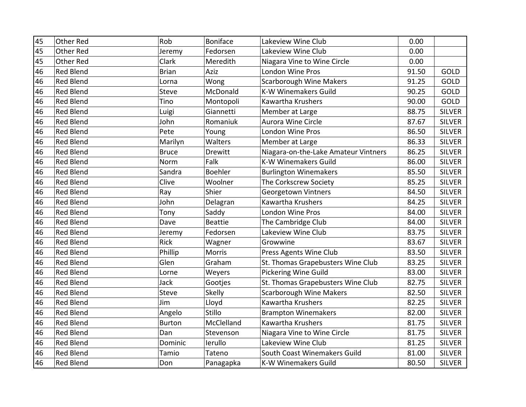| 45 | <b>Other Red</b> | Rob           | <b>Boniface</b> | Lakeview Wine Club                   | 0.00  |               |
|----|------------------|---------------|-----------------|--------------------------------------|-------|---------------|
| 45 | <b>Other Red</b> | Jeremy        | Fedorsen        | Lakeview Wine Club                   | 0.00  |               |
| 45 | <b>Other Red</b> | Clark         | Meredith        | Niagara Vine to Wine Circle          | 0.00  |               |
| 46 | <b>Red Blend</b> | <b>Brian</b>  | Aziz            | London Wine Pros                     | 91.50 | GOLD          |
| 46 | <b>Red Blend</b> | Lorna         | Wong            | <b>Scarborough Wine Makers</b>       | 91.25 | GOLD          |
| 46 | <b>Red Blend</b> | <b>Steve</b>  | McDonald        | <b>K-W Winemakers Guild</b>          | 90.25 | GOLD          |
| 46 | <b>Red Blend</b> | Tino          | Montopoli       | Kawartha Krushers                    | 90.00 | GOLD          |
| 46 | <b>Red Blend</b> | Luigi         | Giannetti       | Member at Large                      | 88.75 | <b>SILVER</b> |
| 46 | <b>Red Blend</b> | John          | Romaniuk        | Aurora Wine Circle                   | 87.67 | <b>SILVER</b> |
| 46 | <b>Red Blend</b> | Pete          | Young           | London Wine Pros                     | 86.50 | <b>SILVER</b> |
| 46 | <b>Red Blend</b> | Marilyn       | Walters         | Member at Large                      | 86.33 | <b>SILVER</b> |
| 46 | <b>Red Blend</b> | <b>Bruce</b>  | <b>Drewitt</b>  | Niagara-on-the-Lake Amateur Vintners | 86.25 | <b>SILVER</b> |
| 46 | <b>Red Blend</b> | Norm          | Falk            | <b>K-W Winemakers Guild</b>          | 86.00 | <b>SILVER</b> |
| 46 | <b>Red Blend</b> | Sandra        | <b>Boehler</b>  | <b>Burlington Winemakers</b>         | 85.50 | <b>SILVER</b> |
| 46 | <b>Red Blend</b> | Clive         | Woolner         | The Corkscrew Society                | 85.25 | <b>SILVER</b> |
| 46 | <b>Red Blend</b> | Ray           | Shier           | Georgetown Vintners                  | 84.50 | <b>SILVER</b> |
| 46 | <b>Red Blend</b> | John          | Delagran        | Kawartha Krushers                    | 84.25 | <b>SILVER</b> |
| 46 | <b>Red Blend</b> | Tony          | Saddy           | London Wine Pros                     | 84.00 | <b>SILVER</b> |
| 46 | <b>Red Blend</b> | Dave          | <b>Beattie</b>  | The Cambridge Club                   | 84.00 | <b>SILVER</b> |
| 46 | <b>Red Blend</b> | Jeremy        | Fedorsen        | Lakeview Wine Club                   | 83.75 | <b>SILVER</b> |
| 46 | <b>Red Blend</b> | <b>Rick</b>   | Wagner          | Growwine                             | 83.67 | <b>SILVER</b> |
| 46 | Red Blend        | Phillip       | Morris          | Press Agents Wine Club               | 83.50 | <b>SILVER</b> |
| 46 | <b>Red Blend</b> | Glen          | Graham          | St. Thomas Grapebusters Wine Club    | 83.25 | <b>SILVER</b> |
| 46 | <b>Red Blend</b> | Lorne         | Weyers          | <b>Pickering Wine Guild</b>          | 83.00 | <b>SILVER</b> |
| 46 | <b>Red Blend</b> | Jack          | Gootjes         | St. Thomas Grapebusters Wine Club    | 82.75 | <b>SILVER</b> |
| 46 | <b>Red Blend</b> | <b>Steve</b>  | Skelly          | Scarborough Wine Makers              | 82.50 | <b>SILVER</b> |
| 46 | <b>Red Blend</b> | Jim           | Lloyd           | Kawartha Krushers                    | 82.25 | <b>SILVER</b> |
| 46 | <b>Red Blend</b> | Angelo        | Stillo          | <b>Brampton Winemakers</b>           | 82.00 | <b>SILVER</b> |
| 46 | <b>Red Blend</b> | <b>Burton</b> | McClelland      | Kawartha Krushers                    | 81.75 | <b>SILVER</b> |
| 46 | <b>Red Blend</b> | Dan           | Stevenson       | Niagara Vine to Wine Circle          | 81.75 | <b>SILVER</b> |
| 46 | Red Blend        | Dominic       | lerullo         | Lakeview Wine Club                   | 81.25 | <b>SILVER</b> |
| 46 | Red Blend        | Tamio         | Tateno          | South Coast Winemakers Guild         | 81.00 | <b>SILVER</b> |
| 46 | <b>Red Blend</b> | Don           | Panagapka       | K-W Winemakers Guild                 | 80.50 | <b>SILVER</b> |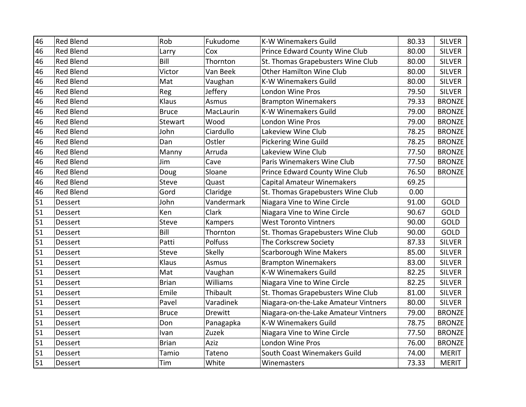| 46 | <b>Red Blend</b> | Rob          | Fukudome        | <b>K-W Winemakers Guild</b>          | 80.33 | <b>SILVER</b> |
|----|------------------|--------------|-----------------|--------------------------------------|-------|---------------|
| 46 | <b>Red Blend</b> | Larry        | Cox             | Prince Edward County Wine Club       | 80.00 | <b>SILVER</b> |
| 46 | <b>Red Blend</b> | Bill         | Thornton        | St. Thomas Grapebusters Wine Club    | 80.00 | <b>SILVER</b> |
| 46 | <b>Red Blend</b> | Victor       | Van Beek        | Other Hamilton Wine Club             | 80.00 | <b>SILVER</b> |
| 46 | <b>Red Blend</b> | Mat          | Vaughan         | <b>K-W Winemakers Guild</b>          | 80.00 | <b>SILVER</b> |
| 46 | <b>Red Blend</b> | Reg          | Jeffery         | London Wine Pros                     | 79.50 | <b>SILVER</b> |
| 46 | <b>Red Blend</b> | Klaus        | Asmus           | <b>Brampton Winemakers</b>           | 79.33 | <b>BRONZE</b> |
| 46 | <b>Red Blend</b> | <b>Bruce</b> | MacLaurin       | <b>K-W Winemakers Guild</b>          | 79.00 | <b>BRONZE</b> |
| 46 | <b>Red Blend</b> | Stewart      | Wood            | <b>London Wine Pros</b>              | 79.00 | <b>BRONZE</b> |
| 46 | <b>Red Blend</b> | John         | Ciardullo       | Lakeview Wine Club                   | 78.25 | <b>BRONZE</b> |
| 46 | <b>Red Blend</b> | Dan          | Ostler          | <b>Pickering Wine Guild</b>          | 78.25 | <b>BRONZE</b> |
| 46 | <b>Red Blend</b> | Manny        | Arruda          | Lakeview Wine Club                   | 77.50 | <b>BRONZE</b> |
| 46 | Red Blend        | Jim          | Cave            | Paris Winemakers Wine Club           | 77.50 | <b>BRONZE</b> |
| 46 | Red Blend        | Doug         | Sloane          | Prince Edward County Wine Club       | 76.50 | <b>BRONZE</b> |
| 46 | <b>Red Blend</b> | Steve        | Quast           | <b>Capital Amateur Winemakers</b>    | 69.25 |               |
| 46 | Red Blend        | Gord         | Claridge        | St. Thomas Grapebusters Wine Club    | 0.00  |               |
| 51 | <b>Dessert</b>   | John         | Vandermark      | Niagara Vine to Wine Circle          | 91.00 | <b>GOLD</b>   |
| 51 | Dessert          | Ken          | Clark           | Niagara Vine to Wine Circle          | 90.67 | GOLD          |
| 51 | Dessert          | Steve        | Kampers         | <b>West Toronto Vintners</b>         | 90.00 | GOLD          |
| 51 | Dessert          | Bill         | Thornton        | St. Thomas Grapebusters Wine Club    | 90.00 | GOLD          |
| 51 | Dessert          | Patti        | Polfuss         | The Corkscrew Society                | 87.33 | <b>SILVER</b> |
| 51 | Dessert          | <b>Steve</b> | <b>Skelly</b>   | <b>Scarborough Wine Makers</b>       | 85.00 | <b>SILVER</b> |
| 51 | Dessert          | Klaus        | Asmus           | <b>Brampton Winemakers</b>           | 83.00 | <b>SILVER</b> |
| 51 | <b>Dessert</b>   | Mat          | Vaughan         | <b>K-W Winemakers Guild</b>          | 82.25 | <b>SILVER</b> |
| 51 | Dessert          | <b>Brian</b> | <b>Williams</b> | Niagara Vine to Wine Circle          | 82.25 | <b>SILVER</b> |
| 51 | Dessert          | Emile        | Thibault        | St. Thomas Grapebusters Wine Club    | 81.00 | <b>SILVER</b> |
| 51 | Dessert          | Pavel        | Varadinek       | Niagara-on-the-Lake Amateur Vintners | 80.00 | <b>SILVER</b> |
| 51 | Dessert          | <b>Bruce</b> | Drewitt         | Niagara-on-the-Lake Amateur Vintners | 79.00 | <b>BRONZE</b> |
| 51 | Dessert          | Don          | Panagapka       | <b>K-W Winemakers Guild</b>          | 78.75 | <b>BRONZE</b> |
| 51 | Dessert          | Ivan         | Zuzek           | Niagara Vine to Wine Circle          | 77.50 | <b>BRONZE</b> |
| 51 | <b>Dessert</b>   | <b>Brian</b> | Aziz            | London Wine Pros                     | 76.00 | <b>BRONZE</b> |
| 51 | Dessert          | Tamio        | Tateno          | South Coast Winemakers Guild         | 74.00 | <b>MERIT</b>  |
| 51 | Dessert          | Tim          | White           | Winemasters                          | 73.33 | <b>MERIT</b>  |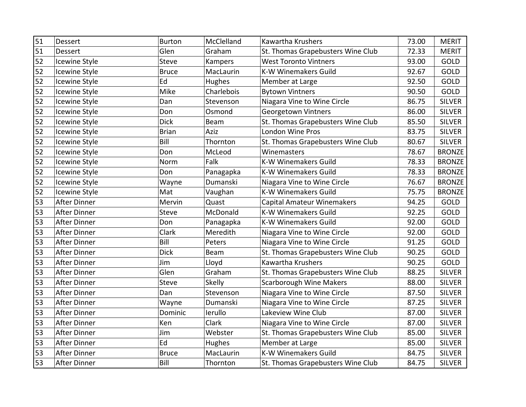| 51 | Dessert             | <b>Burton</b> | McClelland | Kawartha Krushers                 | 73.00 | <b>MERIT</b>  |
|----|---------------------|---------------|------------|-----------------------------------|-------|---------------|
| 51 | <b>Dessert</b>      | Glen          | Graham     | St. Thomas Grapebusters Wine Club | 72.33 | <b>MERIT</b>  |
| 52 | Icewine Style       | Steve         | Kampers    | <b>West Toronto Vintners</b>      | 93.00 | GOLD          |
| 52 | Icewine Style       | <b>Bruce</b>  | MacLaurin  | <b>K-W Winemakers Guild</b>       | 92.67 | GOLD          |
| 52 | Icewine Style       | Ed            | Hughes     | Member at Large                   | 92.50 | GOLD          |
| 52 | Icewine Style       | Mike          | Charlebois | <b>Bytown Vintners</b>            | 90.50 | GOLD          |
| 52 | Icewine Style       | Dan           | Stevenson  | Niagara Vine to Wine Circle       | 86.75 | <b>SILVER</b> |
| 52 | Icewine Style       | Don           | Osmond     | Georgetown Vintners               | 86.00 | <b>SILVER</b> |
| 52 | Icewine Style       | <b>Dick</b>   | Beam       | St. Thomas Grapebusters Wine Club | 85.50 | <b>SILVER</b> |
| 52 | Icewine Style       | <b>Brian</b>  | Aziz       | London Wine Pros                  | 83.75 | <b>SILVER</b> |
| 52 | Icewine Style       | Bill          | Thornton   | St. Thomas Grapebusters Wine Club | 80.67 | <b>SILVER</b> |
| 52 | Icewine Style       | Don           | McLeod     | Winemasters                       | 78.67 | <b>BRONZE</b> |
| 52 | Icewine Style       | Norm          | Falk       | <b>K-W Winemakers Guild</b>       | 78.33 | <b>BRONZE</b> |
| 52 | Icewine Style       | Don           | Panagapka  | K-W Winemakers Guild              | 78.33 | <b>BRONZE</b> |
| 52 | Icewine Style       | Wayne         | Dumanski   | Niagara Vine to Wine Circle       | 76.67 | <b>BRONZE</b> |
| 52 | Icewine Style       | Mat           | Vaughan    | <b>K-W Winemakers Guild</b>       | 75.75 | <b>BRONZE</b> |
| 53 | After Dinner        | Mervin        | Quast      | <b>Capital Amateur Winemakers</b> | 94.25 | GOLD          |
| 53 | After Dinner        | Steve         | McDonald   | K-W Winemakers Guild              | 92.25 | GOLD          |
| 53 | <b>After Dinner</b> | Don           | Panagapka  | <b>K-W Winemakers Guild</b>       | 92.00 | GOLD          |
| 53 | After Dinner        | Clark         | Meredith   | Niagara Vine to Wine Circle       | 92.00 | GOLD          |
| 53 | After Dinner        | Bill          | Peters     | Niagara Vine to Wine Circle       | 91.25 | GOLD          |
| 53 | After Dinner        | <b>Dick</b>   | Beam       | St. Thomas Grapebusters Wine Club | 90.25 | GOLD          |
| 53 | <b>After Dinner</b> | Jim           | Lloyd      | Kawartha Krushers                 | 90.25 | GOLD          |
| 53 | After Dinner        | Glen          | Graham     | St. Thomas Grapebusters Wine Club | 88.25 | <b>SILVER</b> |
| 53 | After Dinner        | Steve         | Skelly     | <b>Scarborough Wine Makers</b>    | 88.00 | <b>SILVER</b> |
| 53 | After Dinner        | Dan           | Stevenson  | Niagara Vine to Wine Circle       | 87.50 | <b>SILVER</b> |
| 53 | After Dinner        | Wayne         | Dumanski   | Niagara Vine to Wine Circle       | 87.25 | <b>SILVER</b> |
| 53 | After Dinner        | Dominic       | lerullo    | Lakeview Wine Club                | 87.00 | <b>SILVER</b> |
| 53 | After Dinner        | Ken           | Clark      | Niagara Vine to Wine Circle       | 87.00 | <b>SILVER</b> |
| 53 | After Dinner        | Jim           | Webster    | St. Thomas Grapebusters Wine Club | 85.00 | <b>SILVER</b> |
| 53 | <b>After Dinner</b> | Ed            | Hughes     | Member at Large                   | 85.00 | <b>SILVER</b> |
| 53 | After Dinner        | Bruce         | MacLaurin  | <b>K-W Winemakers Guild</b>       | 84.75 | <b>SILVER</b> |
| 53 | After Dinner        | Bill          | Thornton   | St. Thomas Grapebusters Wine Club | 84.75 | <b>SILVER</b> |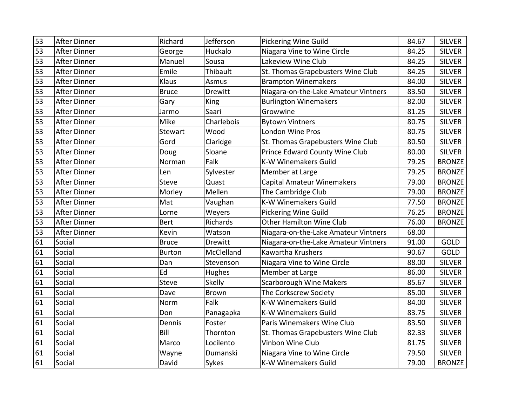| $\overline{53}$ | <b>After Dinner</b> | Richard        | Jefferson      | Pickering Wine Guild                 | 84.67 | <b>SILVER</b> |
|-----------------|---------------------|----------------|----------------|--------------------------------------|-------|---------------|
| 53              | <b>After Dinner</b> | George         | Huckalo        | Niagara Vine to Wine Circle          | 84.25 | <b>SILVER</b> |
| 53              | <b>After Dinner</b> | Manuel         | Sousa          | Lakeview Wine Club                   | 84.25 | <b>SILVER</b> |
| 53              | <b>After Dinner</b> | Emile          | Thibault       | St. Thomas Grapebusters Wine Club    | 84.25 | <b>SILVER</b> |
| 53              | <b>After Dinner</b> | Klaus          | Asmus          | <b>Brampton Winemakers</b>           | 84.00 | <b>SILVER</b> |
| 53              | <b>After Dinner</b> | <b>Bruce</b>   | Drewitt        | Niagara-on-the-Lake Amateur Vintners | 83.50 | <b>SILVER</b> |
| 53              | <b>After Dinner</b> | Gary           | King           | <b>Burlington Winemakers</b>         | 82.00 | <b>SILVER</b> |
| 53              | <b>After Dinner</b> | Jarmo          | Saari          | Growwine                             | 81.25 | <b>SILVER</b> |
| 53              | <b>After Dinner</b> | Mike           | Charlebois     | <b>Bytown Vintners</b>               | 80.75 | <b>SILVER</b> |
| 53              | After Dinner        | <b>Stewart</b> | Wood           | <b>London Wine Pros</b>              | 80.75 | <b>SILVER</b> |
| 53              | <b>After Dinner</b> | Gord           | Claridge       | St. Thomas Grapebusters Wine Club    | 80.50 | <b>SILVER</b> |
| 53              | <b>After Dinner</b> | Doug           | Sloane         | Prince Edward County Wine Club       | 80.00 | <b>SILVER</b> |
| 53              | <b>After Dinner</b> | Norman         | Falk           | <b>K-W Winemakers Guild</b>          | 79.25 | <b>BRONZE</b> |
| 53              | After Dinner        | Len            | Sylvester      | Member at Large                      | 79.25 | <b>BRONZE</b> |
| 53              | <b>After Dinner</b> | <b>Steve</b>   | Quast          | <b>Capital Amateur Winemakers</b>    | 79.00 | <b>BRONZE</b> |
| 53              | After Dinner        | Morley         | Mellen         | The Cambridge Club                   | 79.00 | <b>BRONZE</b> |
| 53              | <b>After Dinner</b> | Mat            | Vaughan        | <b>K-W Winemakers Guild</b>          | 77.50 | <b>BRONZE</b> |
| 53              | <b>After Dinner</b> | Lorne          | Weyers         | <b>Pickering Wine Guild</b>          | 76.25 | <b>BRONZE</b> |
| 53              | <b>After Dinner</b> | <b>Bert</b>    | Richards       | <b>Other Hamilton Wine Club</b>      | 76.00 | <b>BRONZE</b> |
| 53              | <b>After Dinner</b> | Kevin          | Watson         | Niagara-on-the-Lake Amateur Vintners | 68.00 |               |
| 61              | Social              | <b>Bruce</b>   | <b>Drewitt</b> | Niagara-on-the-Lake Amateur Vintners | 91.00 | GOLD          |
| 61              | Social              | <b>Burton</b>  | McClelland     | Kawartha Krushers                    | 90.67 | GOLD          |
| 61              | Social              | Dan            | Stevenson      | Niagara Vine to Wine Circle          | 88.00 | <b>SILVER</b> |
| 61              | Social              | Ed             | Hughes         | Member at Large                      | 86.00 | <b>SILVER</b> |
| 61              | Social              | <b>Steve</b>   | <b>Skelly</b>  | <b>Scarborough Wine Makers</b>       | 85.67 | <b>SILVER</b> |
| 61              | Social              | Dave           | <b>Brown</b>   | The Corkscrew Society                | 85.00 | <b>SILVER</b> |
| 61              | Social              | Norm           | Falk           | <b>K-W Winemakers Guild</b>          | 84.00 | <b>SILVER</b> |
| 61              | Social              | Don            | Panagapka      | <b>K-W Winemakers Guild</b>          | 83.75 | <b>SILVER</b> |
| 61              | Social              | Dennis         | Foster         | Paris Winemakers Wine Club           | 83.50 | <b>SILVER</b> |
| 61              | Social              | Bill           | Thornton       | St. Thomas Grapebusters Wine Club    | 82.33 | <b>SILVER</b> |
| 61              | Social              | Marco          | Locilento      | Vinbon Wine Club                     | 81.75 | <b>SILVER</b> |
| 61              | Social              | Wayne          | Dumanski       | Niagara Vine to Wine Circle          | 79.50 | <b>SILVER</b> |
| 61              | Social              | David          | Sykes          | <b>K-W Winemakers Guild</b>          | 79.00 | <b>BRONZE</b> |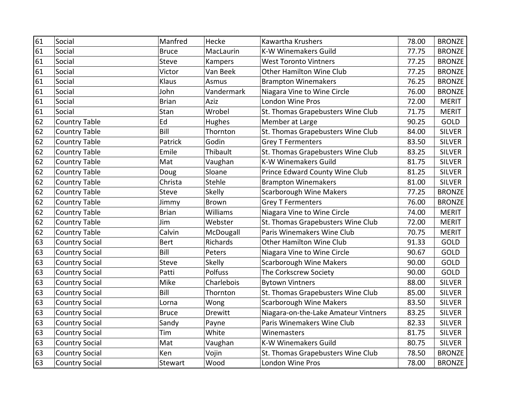| 61 | Social                | Manfred      | Hecke         | Kawartha Krushers                    | 78.00 | <b>BRONZE</b> |
|----|-----------------------|--------------|---------------|--------------------------------------|-------|---------------|
| 61 | Social                | <b>Bruce</b> | MacLaurin     | <b>K-W Winemakers Guild</b>          | 77.75 | <b>BRONZE</b> |
| 61 | Social                | <b>Steve</b> | Kampers       | <b>West Toronto Vintners</b>         | 77.25 | <b>BRONZE</b> |
| 61 | Social                | Victor       | Van Beek      | Other Hamilton Wine Club             | 77.25 | <b>BRONZE</b> |
| 61 | Social                | Klaus        | Asmus         | <b>Brampton Winemakers</b>           | 76.25 | <b>BRONZE</b> |
| 61 | Social                | John         | Vandermark    | Niagara Vine to Wine Circle          | 76.00 | <b>BRONZE</b> |
| 61 | Social                | <b>Brian</b> | Aziz          | London Wine Pros                     | 72.00 | <b>MERIT</b>  |
| 61 | Social                | Stan         | Wrobel        | St. Thomas Grapebusters Wine Club    | 71.75 | <b>MERIT</b>  |
| 62 | <b>Country Table</b>  | Ed           | Hughes        | Member at Large                      | 90.25 | GOLD          |
| 62 | <b>Country Table</b>  | Bill         | Thornton      | St. Thomas Grapebusters Wine Club    | 84.00 | <b>SILVER</b> |
| 62 | <b>Country Table</b>  | Patrick      | Godin         | <b>Grey T Fermenters</b>             | 83.50 | <b>SILVER</b> |
| 62 | <b>Country Table</b>  | Emile        | Thibault      | St. Thomas Grapebusters Wine Club    | 83.25 | <b>SILVER</b> |
| 62 | <b>Country Table</b>  | Mat          | Vaughan       | <b>K-W Winemakers Guild</b>          | 81.75 | <b>SILVER</b> |
| 62 | <b>Country Table</b>  | Doug         | Sloane        | Prince Edward County Wine Club       | 81.25 | <b>SILVER</b> |
| 62 | <b>Country Table</b>  | Christa      | Stehle        | <b>Brampton Winemakers</b>           | 81.00 | <b>SILVER</b> |
| 62 | <b>Country Table</b>  | <b>Steve</b> | <b>Skelly</b> | <b>Scarborough Wine Makers</b>       | 77.25 | <b>BRONZE</b> |
| 62 | <b>Country Table</b>  | Jimmy        | <b>Brown</b>  | <b>Grey T Fermenters</b>             | 76.00 | <b>BRONZE</b> |
| 62 | <b>Country Table</b>  | <b>Brian</b> | Williams      | Niagara Vine to Wine Circle          | 74.00 | <b>MERIT</b>  |
| 62 | <b>Country Table</b>  | Jim          | Webster       | St. Thomas Grapebusters Wine Club    | 72.00 | <b>MERIT</b>  |
| 62 | <b>Country Table</b>  | Calvin       | McDougall     | Paris Winemakers Wine Club           | 70.75 | <b>MERIT</b>  |
| 63 | <b>Country Social</b> | <b>Bert</b>  | Richards      | <b>Other Hamilton Wine Club</b>      | 91.33 | GOLD          |
| 63 | <b>Country Social</b> | Bill         | Peters        | Niagara Vine to Wine Circle          | 90.67 | GOLD          |
| 63 | <b>Country Social</b> | <b>Steve</b> | <b>Skelly</b> | <b>Scarborough Wine Makers</b>       | 90.00 | GOLD          |
| 63 | <b>Country Social</b> | Patti        | Polfuss       | The Corkscrew Society                | 90.00 | GOLD          |
| 63 | <b>Country Social</b> | Mike         | Charlebois    | <b>Bytown Vintners</b>               | 88.00 | <b>SILVER</b> |
| 63 | <b>Country Social</b> | Bill         | Thornton      | St. Thomas Grapebusters Wine Club    | 85.00 | <b>SILVER</b> |
| 63 | <b>Country Social</b> | Lorna        | Wong          | <b>Scarborough Wine Makers</b>       | 83.50 | <b>SILVER</b> |
| 63 | <b>Country Social</b> | <b>Bruce</b> | Drewitt       | Niagara-on-the-Lake Amateur Vintners | 83.25 | <b>SILVER</b> |
| 63 | <b>Country Social</b> | Sandy        | Payne         | Paris Winemakers Wine Club           | 82.33 | <b>SILVER</b> |
| 63 | <b>Country Social</b> | Tim          | White         | Winemasters                          | 81.75 | <b>SILVER</b> |
| 63 | <b>Country Social</b> | Mat          | Vaughan       | <b>K-W Winemakers Guild</b>          | 80.75 | <b>SILVER</b> |
| 63 | <b>Country Social</b> | Ken          | Vojin         | St. Thomas Grapebusters Wine Club    | 78.50 | <b>BRONZE</b> |
| 63 | <b>Country Social</b> | Stewart      | Wood          | London Wine Pros                     | 78.00 | <b>BRONZE</b> |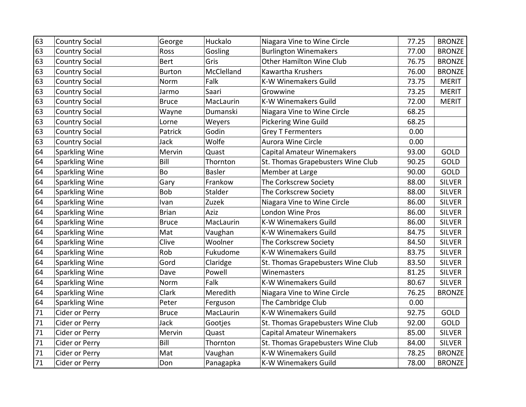| 63 | <b>Country Social</b> | George        | Huckalo       | Niagara Vine to Wine Circle       | 77.25 | <b>BRONZE</b> |
|----|-----------------------|---------------|---------------|-----------------------------------|-------|---------------|
| 63 | <b>Country Social</b> | Ross          | Gosling       | <b>Burlington Winemakers</b>      | 77.00 | <b>BRONZE</b> |
| 63 | <b>Country Social</b> | <b>Bert</b>   | Gris          | Other Hamilton Wine Club          | 76.75 | <b>BRONZE</b> |
| 63 | <b>Country Social</b> | <b>Burton</b> | McClelland    | Kawartha Krushers                 | 76.00 | <b>BRONZE</b> |
| 63 | <b>Country Social</b> | Norm          | Falk          | <b>K-W Winemakers Guild</b>       | 73.75 | <b>MERIT</b>  |
| 63 | <b>Country Social</b> | Jarmo         | Saari         | Growwine                          | 73.25 | <b>MERIT</b>  |
| 63 | <b>Country Social</b> | <b>Bruce</b>  | MacLaurin     | <b>K-W Winemakers Guild</b>       | 72.00 | <b>MERIT</b>  |
| 63 | <b>Country Social</b> | Wayne         | Dumanski      | Niagara Vine to Wine Circle       | 68.25 |               |
| 63 | <b>Country Social</b> | Lorne         | Weyers        | Pickering Wine Guild              | 68.25 |               |
| 63 | <b>Country Social</b> | Patrick       | Godin         | <b>Grey T Fermenters</b>          | 0.00  |               |
| 63 | <b>Country Social</b> | Jack          | Wolfe         | Aurora Wine Circle                | 0.00  |               |
| 64 | <b>Sparkling Wine</b> | Mervin        | Quast         | <b>Capital Amateur Winemakers</b> | 93.00 | <b>GOLD</b>   |
| 64 | Sparkling Wine        | Bill          | Thornton      | St. Thomas Grapebusters Wine Club | 90.25 | <b>GOLD</b>   |
| 64 | <b>Sparkling Wine</b> | Bo            | <b>Basler</b> | Member at Large                   | 90.00 | GOLD          |
| 64 | <b>Sparkling Wine</b> | Gary          | Frankow       | The Corkscrew Society             | 88.00 | <b>SILVER</b> |
| 64 | <b>Sparkling Wine</b> | <b>Bob</b>    | Stalder       | The Corkscrew Society             | 88.00 | <b>SILVER</b> |
| 64 | Sparkling Wine        | Ivan          | Zuzek         | Niagara Vine to Wine Circle       | 86.00 | <b>SILVER</b> |
| 64 | <b>Sparkling Wine</b> | <b>Brian</b>  | Aziz          | London Wine Pros                  | 86.00 | <b>SILVER</b> |
| 64 | <b>Sparkling Wine</b> | <b>Bruce</b>  | MacLaurin     | <b>K-W Winemakers Guild</b>       | 86.00 | <b>SILVER</b> |
| 64 | <b>Sparkling Wine</b> | Mat           | Vaughan       | <b>K-W Winemakers Guild</b>       | 84.75 | <b>SILVER</b> |
| 64 | Sparkling Wine        | Clive         | Woolner       | The Corkscrew Society             | 84.50 | <b>SILVER</b> |
| 64 | Sparkling Wine        | Rob           | Fukudome      | <b>K-W Winemakers Guild</b>       | 83.75 | <b>SILVER</b> |
| 64 | <b>Sparkling Wine</b> | Gord          | Claridge      | St. Thomas Grapebusters Wine Club | 83.50 | <b>SILVER</b> |
| 64 | <b>Sparkling Wine</b> | Dave          | Powell        | Winemasters                       | 81.25 | <b>SILVER</b> |
| 64 | <b>Sparkling Wine</b> | Norm          | Falk          | <b>K-W Winemakers Guild</b>       | 80.67 | <b>SILVER</b> |
| 64 | Sparkling Wine        | Clark         | Meredith      | Niagara Vine to Wine Circle       | 76.25 | <b>BRONZE</b> |
| 64 | <b>Sparkling Wine</b> | Peter         | Ferguson      | The Cambridge Club                | 0.00  |               |
| 71 | Cider or Perry        | <b>Bruce</b>  | MacLaurin     | <b>K-W Winemakers Guild</b>       | 92.75 | GOLD          |
| 71 | Cider or Perry        | Jack          | Gootjes       | St. Thomas Grapebusters Wine Club | 92.00 | GOLD          |
| 71 | Cider or Perry        | Mervin        | Quast         | <b>Capital Amateur Winemakers</b> | 85.00 | <b>SILVER</b> |
| 71 | Cider or Perry        | Bill          | Thornton      | St. Thomas Grapebusters Wine Club | 84.00 | <b>SILVER</b> |
| 71 | Cider or Perry        | Mat           | Vaughan       | <b>K-W Winemakers Guild</b>       | 78.25 | <b>BRONZE</b> |
| 71 | Cider or Perry        | Don           | Panagapka     | K-W Winemakers Guild              | 78.00 | <b>BRONZE</b> |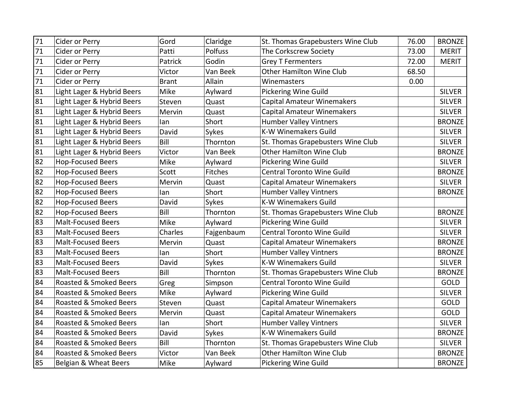| 71 | Cider or Perry             | Gord         | Claridge       | St. Thomas Grapebusters Wine Club | 76.00 | <b>BRONZE</b> |
|----|----------------------------|--------------|----------------|-----------------------------------|-------|---------------|
| 71 | Cider or Perry             | Patti        | Polfuss        | The Corkscrew Society             | 73.00 | <b>MERIT</b>  |
| 71 | Cider or Perry             | Patrick      | Godin          | <b>Grey T Fermenters</b>          | 72.00 | <b>MERIT</b>  |
| 71 | Cider or Perry             | Victor       | Van Beek       | <b>Other Hamilton Wine Club</b>   | 68.50 |               |
| 71 | Cider or Perry             | <b>Brant</b> | Allain         | Winemasters                       | 0.00  |               |
| 81 | Light Lager & Hybrid Beers | Mike         | Aylward        | Pickering Wine Guild              |       | <b>SILVER</b> |
| 81 | Light Lager & Hybrid Beers | Steven       | Quast          | <b>Capital Amateur Winemakers</b> |       | <b>SILVER</b> |
| 81 | Light Lager & Hybrid Beers | Mervin       | Quast          | <b>Capital Amateur Winemakers</b> |       | <b>SILVER</b> |
| 81 | Light Lager & Hybrid Beers | lan          | Short          | <b>Humber Valley Vintners</b>     |       | <b>BRONZE</b> |
| 81 | Light Lager & Hybrid Beers | David        | Sykes          | K-W Winemakers Guild              |       | <b>SILVER</b> |
| 81 | Light Lager & Hybrid Beers | Bill         | Thornton       | St. Thomas Grapebusters Wine Club |       | <b>SILVER</b> |
| 81 | Light Lager & Hybrid Beers | Victor       | Van Beek       | <b>Other Hamilton Wine Club</b>   |       | <b>BRONZE</b> |
| 82 | <b>Hop-Focused Beers</b>   | Mike         | Aylward        | Pickering Wine Guild              |       | <b>SILVER</b> |
| 82 | <b>Hop-Focused Beers</b>   | Scott        | <b>Fitches</b> | <b>Central Toronto Wine Guild</b> |       | <b>BRONZE</b> |
| 82 | <b>Hop-Focused Beers</b>   | Mervin       | Quast          | <b>Capital Amateur Winemakers</b> |       | <b>SILVER</b> |
| 82 | <b>Hop-Focused Beers</b>   | lan          | Short          | <b>Humber Valley Vintners</b>     |       | <b>BRONZE</b> |
| 82 | <b>Hop-Focused Beers</b>   | David        | Sykes          | <b>K-W Winemakers Guild</b>       |       |               |
| 82 | <b>Hop-Focused Beers</b>   | Bill         | Thornton       | St. Thomas Grapebusters Wine Club |       | <b>BRONZE</b> |
| 83 | <b>Malt-Focused Beers</b>  | Mike         | Aylward        | <b>Pickering Wine Guild</b>       |       | <b>SILVER</b> |
| 83 | <b>Malt-Focused Beers</b>  | Charles      | Fajgenbaum     | Central Toronto Wine Guild        |       | <b>SILVER</b> |
| 83 | <b>Malt-Focused Beers</b>  | Mervin       | Quast          | <b>Capital Amateur Winemakers</b> |       | <b>BRONZE</b> |
| 83 | <b>Malt-Focused Beers</b>  | lan          | Short          | <b>Humber Valley Vintners</b>     |       | <b>BRONZE</b> |
| 83 | <b>Malt-Focused Beers</b>  | David        | Sykes          | <b>K-W Winemakers Guild</b>       |       | <b>SILVER</b> |
| 83 | <b>Malt-Focused Beers</b>  | Bill         | Thornton       | St. Thomas Grapebusters Wine Club |       | <b>BRONZE</b> |
| 84 | Roasted & Smoked Beers     | Greg         | Simpson        | <b>Central Toronto Wine Guild</b> |       | GOLD          |
| 84 | Roasted & Smoked Beers     | Mike         | Aylward        | <b>Pickering Wine Guild</b>       |       | <b>SILVER</b> |
| 84 | Roasted & Smoked Beers     | Steven       | Quast          | <b>Capital Amateur Winemakers</b> |       | GOLD          |
| 84 | Roasted & Smoked Beers     | Mervin       | Quast          | <b>Capital Amateur Winemakers</b> |       | <b>GOLD</b>   |
| 84 | Roasted & Smoked Beers     | lan          | Short          | <b>Humber Valley Vintners</b>     |       | <b>SILVER</b> |
| 84 | Roasted & Smoked Beers     | David        | Sykes          | <b>K-W Winemakers Guild</b>       |       | <b>BRONZE</b> |
| 84 | Roasted & Smoked Beers     | Bill         | Thornton       | St. Thomas Grapebusters Wine Club |       | <b>SILVER</b> |
| 84 | Roasted & Smoked Beers     | Victor       | Van Beek       | Other Hamilton Wine Club          |       | <b>BRONZE</b> |
| 85 | Belgian & Wheat Beers      | Mike         | Aylward        | Pickering Wine Guild              |       | <b>BRONZE</b> |